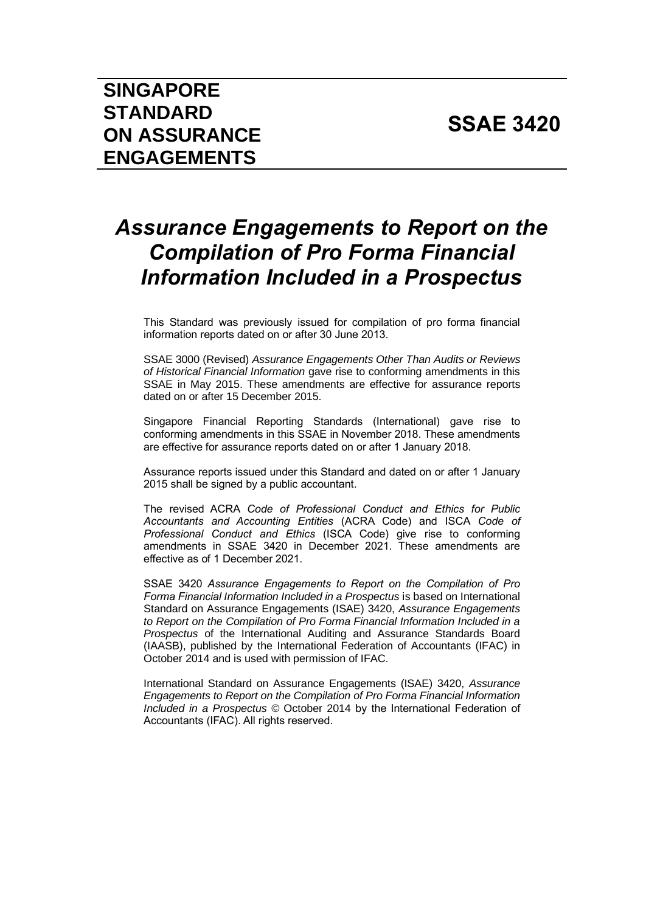# *Assurance Engagements to Report on the Compilation of Pro Forma Financial Information Included in a Prospectus*

This Standard was previously issued for compilation of pro forma financial information reports dated on or after 30 June 2013.

SSAE 3000 (Revised) *Assurance Engagements Other Than Audits or Reviews of Historical Financial Information* gave rise to conforming amendments in this SSAE in May 2015. These amendments are effective for assurance reports dated on or after 15 December 2015.

Singapore Financial Reporting Standards (International) gave rise to conforming amendments in this SSAE in November 2018. These amendments are effective for assurance reports dated on or after 1 January 2018.

Assurance reports issued under this Standard and dated on or after 1 January 2015 shall be signed by a public accountant.

The revised ACRA *Code of Professional Conduct and Ethics for Public Accountants and Accounting Entities* (ACRA Code) and ISCA *Code of Professional Conduct and Ethics* (ISCA Code) give rise to conforming amendments in SSAE 3420 in December 2021. These amendments are effective as of 1 December 2021.

SSAE 3420 *Assurance Engagements to Report on the Compilation of Pro Forma Financial Information Included in a Prospectus* is based on International Standard on Assurance Engagements (ISAE) 3420, *Assurance Engagements to Report on the Compilation of Pro Forma Financial Information Included in a Prospectus* of the International Auditing and Assurance Standards Board (IAASB), published by the International Federation of Accountants (IFAC) in October 2014 and is used with permission of IFAC.

International Standard on Assurance Engagements (ISAE) 3420, *Assurance Engagements to Report on the Compilation of Pro Forma Financial Information Included in a Prospectus* © October 2014 by the International Federation of Accountants (IFAC). All rights reserved.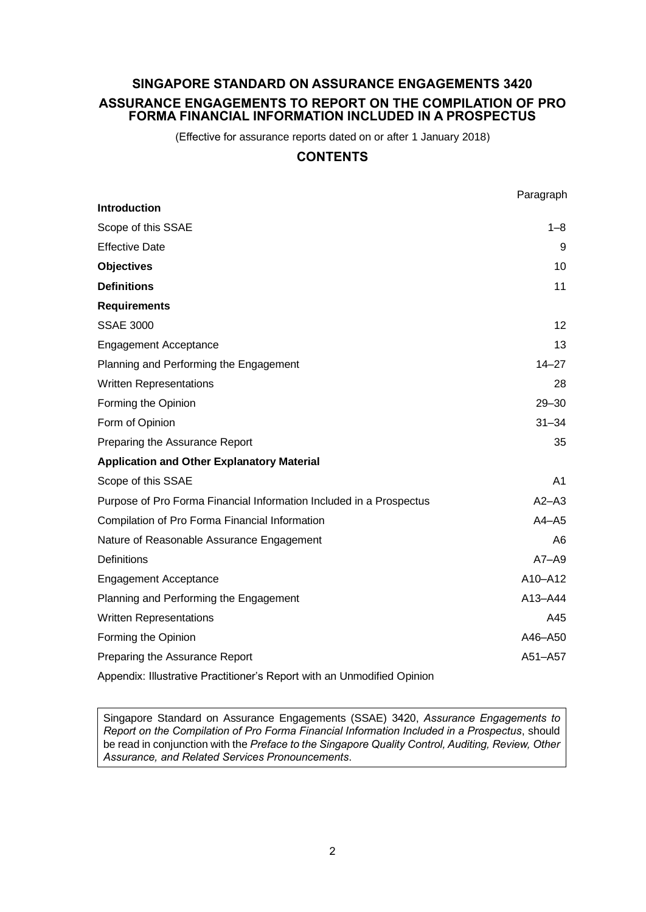# **SINGAPORE STANDARD ON ASSURANCE ENGAGEMENTS 3420 ASSURANCE ENGAGEMENTS TO REPORT ON THE COMPILATION OF PRO FORMA FINANCIAL INFORMATION INCLUDED IN A PROSPECTUS**

(Effective for assurance reports dated on or after 1 January 2018)

# **CONTENTS**

|                                                                     | Paragraph      |
|---------------------------------------------------------------------|----------------|
| <b>Introduction</b>                                                 |                |
| Scope of this SSAE                                                  | 1–8            |
| <b>Effective Date</b>                                               | 9              |
| <b>Objectives</b>                                                   | 10             |
| <b>Definitions</b>                                                  | 11             |
| <b>Requirements</b>                                                 |                |
| <b>SSAE 3000</b>                                                    | 12             |
| <b>Engagement Acceptance</b>                                        | 13             |
| Planning and Performing the Engagement                              | $14 - 27$      |
| <b>Written Representations</b>                                      | 28             |
| Forming the Opinion                                                 | $29 - 30$      |
| Form of Opinion                                                     | $31 - 34$      |
| Preparing the Assurance Report                                      | 35             |
| <b>Application and Other Explanatory Material</b>                   |                |
| Scope of this SSAE                                                  | A <sub>1</sub> |
| Purpose of Pro Forma Financial Information Included in a Prospectus | $A2 - A3$      |
| Compilation of Pro Forma Financial Information                      | $A4 - A5$      |
| Nature of Reasonable Assurance Engagement                           | A6             |
| <b>Definitions</b>                                                  | $A7 - A9$      |
| <b>Engagement Acceptance</b>                                        | A10-A12        |
| Planning and Performing the Engagement                              | A13-A44        |
| <b>Written Representations</b>                                      | A45            |
| Forming the Opinion                                                 | A46-A50        |
| Preparing the Assurance Report                                      | A51-A57        |
|                                                                     |                |

Appendix: Illustrative Practitioner's Report with an Unmodified Opinion

Singapore Standard on Assurance Engagements (SSAE) 3420, *Assurance Engagements to Report on the Compilation of Pro Forma Financial Information Included in a Prospectus*, should be read in conjunction with the *Preface to the Singapore Quality Control, Auditing, Review, Other Assurance, and Related Services Pronouncements*.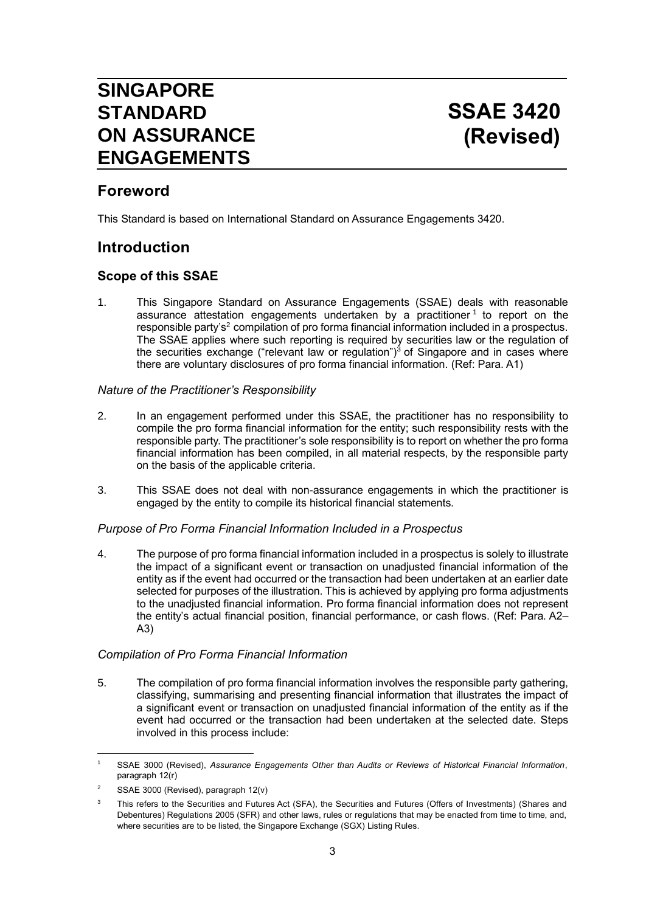# **SINGAPORE STANDARD ON ASSURANCE ENGAGEMENTS**

# **Foreword**

This Standard is based on International Standard on Assurance Engagements 3420.

# **Introduction**

# **Scope of this SSAE**

1. This Singapore Standard on Assurance Engagements (SSAE) deals with reasonable assurance attestation engagements undertaken by a practitioner<sup>1</sup> to report on the responsible party's<sup>2</sup> compilation of pro forma financial information included in a prospectus. The SSAE applies where such reporting is required by securities law or the regulation of the securities exchange ("relevant law or regulation")<sup>3</sup> of Singapore and in cases where there are voluntary disclosures of pro forma financial information. (Ref: Para. A1)

### *Nature of the Practitioner's Responsibility*

- 2. In an engagement performed under this SSAE, the practitioner has no responsibility to compile the pro forma financial information for the entity; such responsibility rests with the responsible party. The practitioner's sole responsibility is to report on whether the pro forma financial information has been compiled, in all material respects, by the responsible party on the basis of the applicable criteria.
- 3. This SSAE does not deal with non-assurance engagements in which the practitioner is engaged by the entity to compile its historical financial statements.

### *Purpose of Pro Forma Financial Information Included in a Prospectus*

4. The purpose of pro forma financial information included in a prospectus is solely to illustrate the impact of a significant event or transaction on unadjusted financial information of the entity as if the event had occurred or the transaction had been undertaken at an earlier date selected for purposes of the illustration. This is achieved by applying pro forma adjustments to the unadjusted financial information. Pro forma financial information does not represent the entity's actual financial position, financial performance, or cash flows. (Ref: Para. A2– A3)

### *Compilation of Pro Forma Financial Information*

5. The compilation of pro forma financial information involves the responsible party gathering, classifying, summarising and presenting financial information that illustrates the impact of a significant event or transaction on unadjusted financial information of the entity as if the event had occurred or the transaction had been undertaken at the selected date. Steps involved in this process include:

<sup>1</sup> SSAE 3000 (Revised), *Assurance Engagements Other than Audits or Reviews of Historical Financial Information*, paragraph 12(r)

<sup>&</sup>lt;sup>2</sup> SSAE 3000 (Revised), paragraph  $12(v)$ 

This refers to the Securities and Futures Act (SFA), the Securities and Futures (Offers of Investments) (Shares and Debentures) Regulations 2005 (SFR) and other laws, rules or regulations that may be enacted from time to time, and, where securities are to be listed, the Singapore Exchange (SGX) Listing Rules.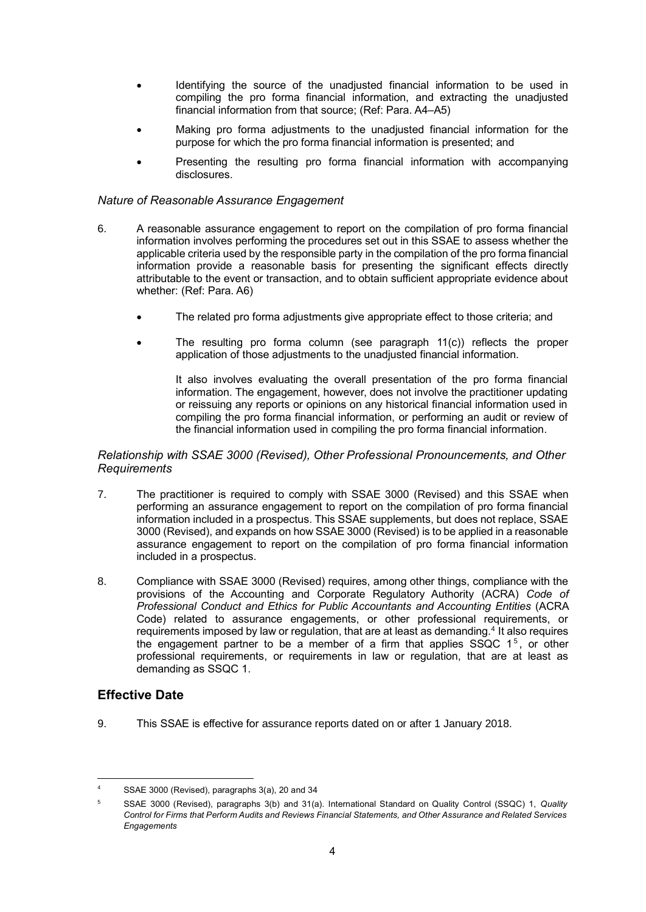- Identifying the source of the unadjusted financial information to be used in compiling the pro forma financial information, and extracting the unadjusted financial information from that source; (Ref: Para. A4–A5)
- Making pro forma adjustments to the unadjusted financial information for the purpose for which the pro forma financial information is presented; and
- Presenting the resulting pro forma financial information with accompanying disclosures.

#### *Nature of Reasonable Assurance Engagement*

- 6. A reasonable assurance engagement to report on the compilation of pro forma financial information involves performing the procedures set out in this SSAE to assess whether the applicable criteria used by the responsible party in the compilation of the pro forma financial information provide a reasonable basis for presenting the significant effects directly attributable to the event or transaction, and to obtain sufficient appropriate evidence about whether: (Ref: Para. A6)
	- The related pro forma adjustments give appropriate effect to those criteria; and
	- The resulting pro forma column (see paragraph  $11(c)$ ) reflects the proper application of those adjustments to the unadjusted financial information.

It also involves evaluating the overall presentation of the pro forma financial information. The engagement, however, does not involve the practitioner updating or reissuing any reports or opinions on any historical financial information used in compiling the pro forma financial information, or performing an audit or review of the financial information used in compiling the pro forma financial information.

#### *Relationship with SSAE 3000 (Revised), Other Professional Pronouncements, and Other Requirements*

- 7. The practitioner is required to comply with SSAE 3000 (Revised) and this SSAE when performing an assurance engagement to report on the compilation of pro forma financial information included in a prospectus. This SSAE supplements, but does not replace, SSAE 3000 (Revised), and expands on how SSAE 3000 (Revised) is to be applied in a reasonable assurance engagement to report on the compilation of pro forma financial information included in a prospectus.
- 8. Compliance with SSAE 3000 (Revised) requires, among other things, compliance with the provisions of the Accounting and Corporate Regulatory Authority (ACRA) *Code of Professional Conduct and Ethics for Public Accountants and Accounting Entities* (ACRA Code) related to assurance engagements, or other professional requirements, or requirements imposed by law or regulation, that are at least as demanding.<sup>4</sup> It also requires the engagement partner to be a member of a firm that applies  $SSQC$  1<sup>5</sup>, or other professional requirements, or requirements in law or regulation, that are at least as demanding as SSQC 1.

# **Effective Date**

9. This SSAE is effective for assurance reports dated on or after 1 January 2018.

SSAE 3000 (Revised), paragraphs 3(a), 20 and 34

<sup>5</sup> SSAE 3000 (Revised), paragraphs 3(b) and 31(a). International Standard on Quality Control (SSQC) 1, *Quality Control for Firms that Perform Audits and Reviews Financial Statements, and Other Assurance and Related Services Engagements*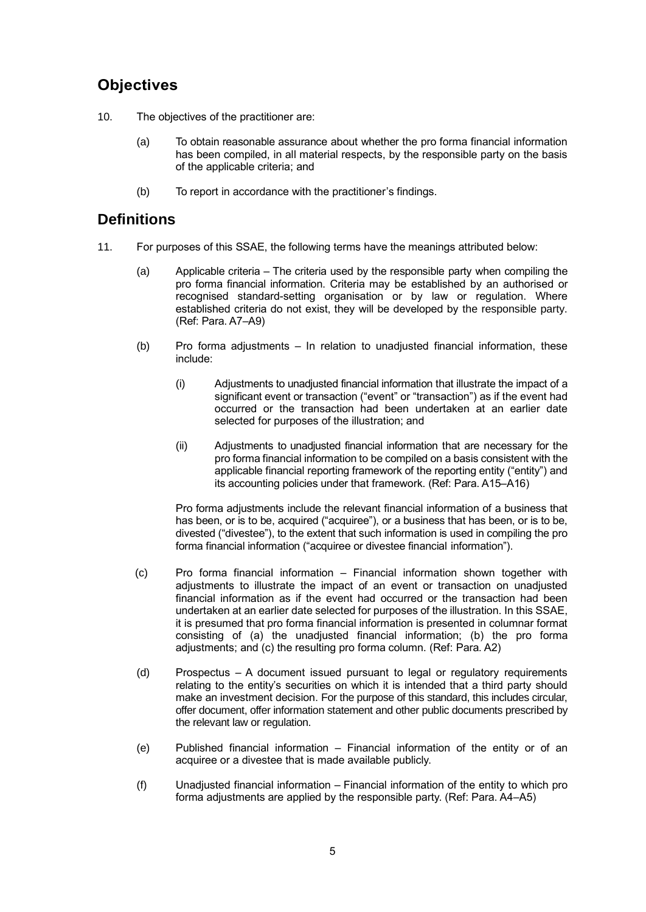# **Objectives**

- 10. The objectives of the practitioner are:
	- (a) To obtain reasonable assurance about whether the pro forma financial information has been compiled, in all material respects, by the responsible party on the basis of the applicable criteria; and
	- (b) To report in accordance with the practitioner's findings.

# **Definitions**

- 11. For purposes of this SSAE, the following terms have the meanings attributed below:
	- (a) Applicable criteria The criteria used by the responsible party when compiling the pro forma financial information. Criteria may be established by an authorised or recognised standard-setting organisation or by law or regulation. Where established criteria do not exist, they will be developed by the responsible party. (Ref: Para. A7–A9)
	- (b) Pro forma adjustments In relation to unadjusted financial information, these include:
		- (i) Adjustments to unadjusted financial information that illustrate the impact of a significant event or transaction ("event" or "transaction") as if the event had occurred or the transaction had been undertaken at an earlier date selected for purposes of the illustration; and
		- (ii) Adjustments to unadjusted financial information that are necessary for the pro forma financial information to be compiled on a basis consistent with the applicable financial reporting framework of the reporting entity ("entity") and its accounting policies under that framework. (Ref: Para. A15–A16)

Pro forma adjustments include the relevant financial information of a business that has been, or is to be, acquired ("acquiree"), or a business that has been, or is to be, divested ("divestee"), to the extent that such information is used in compiling the pro forma financial information ("acquiree or divestee financial information").

- (c) Pro forma financial information Financial information shown together with adjustments to illustrate the impact of an event or transaction on unadjusted financial information as if the event had occurred or the transaction had been undertaken at an earlier date selected for purposes of the illustration. In this SSAE, it is presumed that pro forma financial information is presented in columnar format consisting of (a) the unadjusted financial information; (b) the pro forma adjustments; and (c) the resulting pro forma column. (Ref: Para. A2)
- (d) Prospectus A document issued pursuant to legal or regulatory requirements relating to the entity's securities on which it is intended that a third party should make an investment decision. For the purpose of this standard, this includes circular, offer document, offer information statement and other public documents prescribed by the relevant law or regulation.
- (e) Published financial information Financial information of the entity or of an acquiree or a divestee that is made available publicly.
- (f) Unadjusted financial information Financial information of the entity to which pro forma adjustments are applied by the responsible party. (Ref: Para. A4–A5)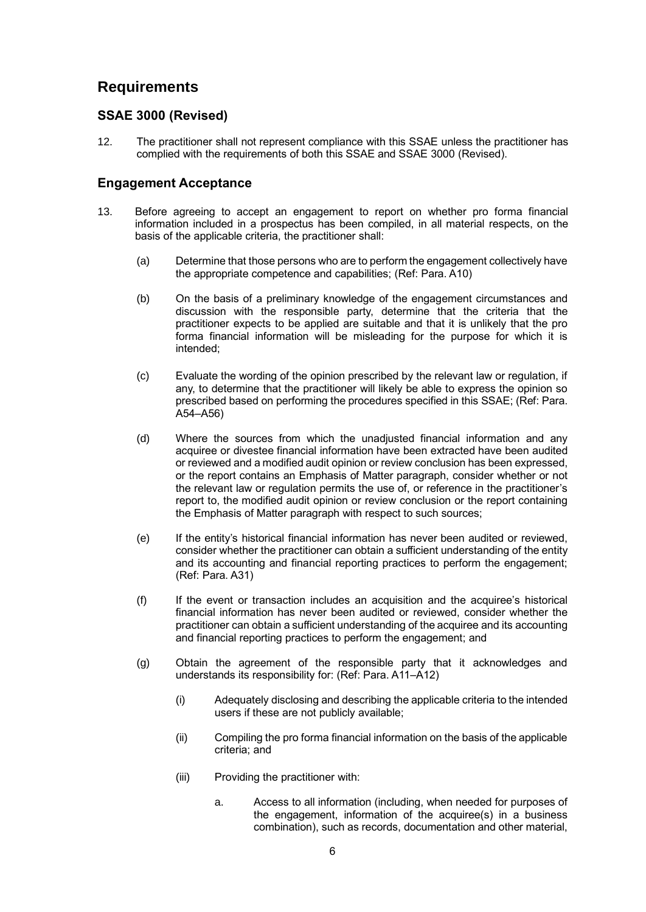# **Requirements**

# **SSAE 3000 (Revised)**

12. The practitioner shall not represent compliance with this SSAE unless the practitioner has complied with the requirements of both this SSAE and SSAE 3000 (Revised).

# **Engagement Acceptance**

- 13. Before agreeing to accept an engagement to report on whether pro forma financial information included in a prospectus has been compiled, in all material respects, on the basis of the applicable criteria, the practitioner shall:
	- (a) Determine that those persons who are to perform the engagement collectively have the appropriate competence and capabilities; (Ref: Para. A10)
	- (b) On the basis of a preliminary knowledge of the engagement circumstances and discussion with the responsible party, determine that the criteria that the practitioner expects to be applied are suitable and that it is unlikely that the pro forma financial information will be misleading for the purpose for which it is intended;
	- (c) Evaluate the wording of the opinion prescribed by the relevant law or regulation, if any, to determine that the practitioner will likely be able to express the opinion so prescribed based on performing the procedures specified in this SSAE; (Ref: Para. A54–A56)
	- (d) Where the sources from which the unadjusted financial information and any acquiree or divestee financial information have been extracted have been audited or reviewed and a modified audit opinion or review conclusion has been expressed, or the report contains an Emphasis of Matter paragraph, consider whether or not the relevant law or regulation permits the use of, or reference in the practitioner's report to, the modified audit opinion or review conclusion or the report containing the Emphasis of Matter paragraph with respect to such sources;
	- (e) If the entity's historical financial information has never been audited or reviewed, consider whether the practitioner can obtain a sufficient understanding of the entity and its accounting and financial reporting practices to perform the engagement; (Ref: Para. A31)
	- (f) If the event or transaction includes an acquisition and the acquiree's historical financial information has never been audited or reviewed, consider whether the practitioner can obtain a sufficient understanding of the acquiree and its accounting and financial reporting practices to perform the engagement; and
	- (g) Obtain the agreement of the responsible party that it acknowledges and understands its responsibility for: (Ref: Para. A11–A12)
		- (i) Adequately disclosing and describing the applicable criteria to the intended users if these are not publicly available;
		- (ii) Compiling the pro forma financial information on the basis of the applicable criteria; and
		- (iii) Providing the practitioner with:
			- a. Access to all information (including, when needed for purposes of the engagement, information of the acquiree(s) in a business combination), such as records, documentation and other material,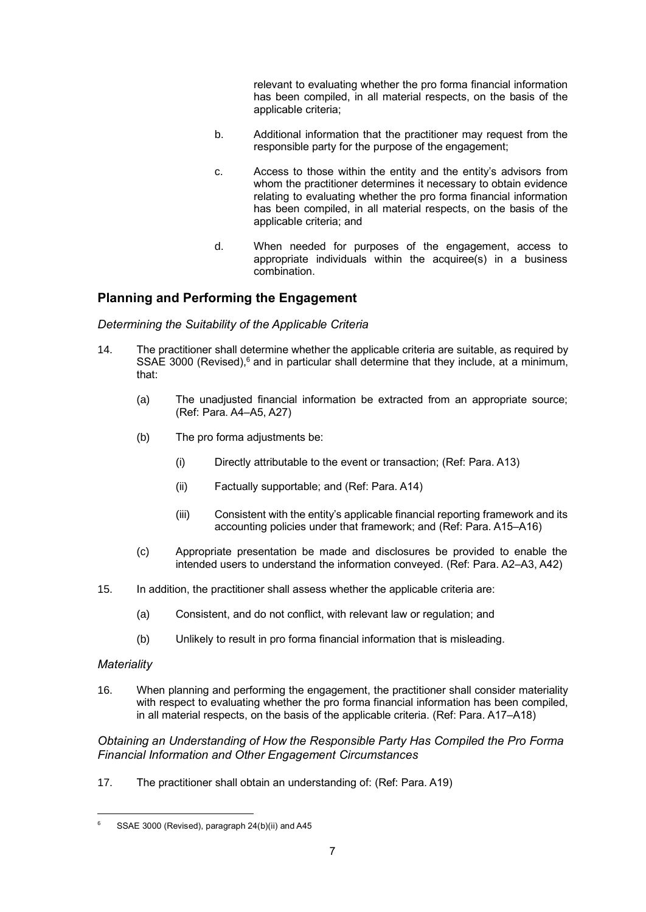relevant to evaluating whether the pro forma financial information has been compiled, in all material respects, on the basis of the applicable criteria;

- b. Additional information that the practitioner may request from the responsible party for the purpose of the engagement;
- c. Access to those within the entity and the entity's advisors from whom the practitioner determines it necessary to obtain evidence relating to evaluating whether the pro forma financial information has been compiled, in all material respects, on the basis of the applicable criteria; and
- d. When needed for purposes of the engagement, access to appropriate individuals within the acquiree(s) in a business combination.

# **Planning and Performing the Engagement**

#### *Determining the Suitability of the Applicable Criteria*

- 14. The practitioner shall determine whether the applicable criteria are suitable, as required by SSAE 3000 (Revised),<sup>6</sup> and in particular shall determine that they include, at a minimum, that:
	- (a) The unadjusted financial information be extracted from an appropriate source; (Ref: Para. A4–A5, A27)
	- (b) The pro forma adjustments be:
		- (i) Directly attributable to the event or transaction; (Ref: Para. A13)
		- (ii) Factually supportable; and (Ref: Para. A14)
		- (iii) Consistent with the entity's applicable financial reporting framework and its accounting policies under that framework; and (Ref: Para. A15–A16)
	- (c) Appropriate presentation be made and disclosures be provided to enable the intended users to understand the information conveyed. (Ref: Para. A2–A3, A42)
- 15. In addition, the practitioner shall assess whether the applicable criteria are:
	- (a) Consistent, and do not conflict, with relevant law or regulation; and
	- (b) Unlikely to result in pro forma financial information that is misleading.

#### *Materiality*

16. When planning and performing the engagement, the practitioner shall consider materiality with respect to evaluating whether the pro forma financial information has been compiled, in all material respects, on the basis of the applicable criteria. (Ref: Para. A17–A18)

*Obtaining an Understanding of How the Responsible Party Has Compiled the Pro Forma Financial Information and Other Engagement Circumstances*

17. The practitioner shall obtain an understanding of: (Ref: Para. A19)

<sup>6</sup> SSAE 3000 (Revised), paragraph 24(b)(ii) and A45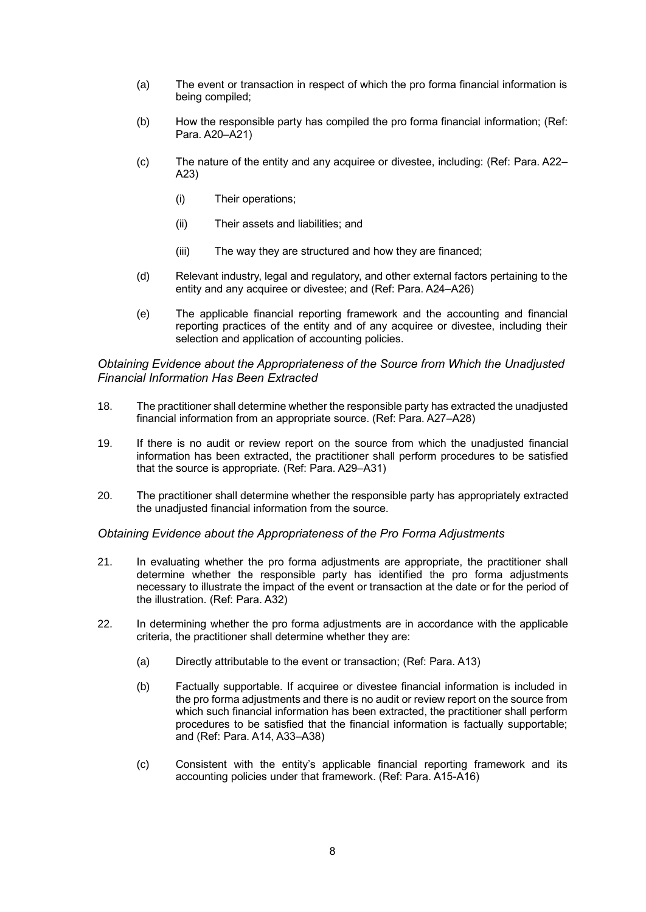- (a) The event or transaction in respect of which the pro forma financial information is being compiled;
- (b) How the responsible party has compiled the pro forma financial information; (Ref: Para. A20–A21)
- (c) The nature of the entity and any acquiree or divestee, including: (Ref: Para. A22– A23)
	- (i) Their operations;
	- (ii) Their assets and liabilities; and
	- (iii) The way they are structured and how they are financed;
- (d) Relevant industry, legal and regulatory, and other external factors pertaining to the entity and any acquiree or divestee; and (Ref: Para. A24–A26)
- (e) The applicable financial reporting framework and the accounting and financial reporting practices of the entity and of any acquiree or divestee, including their selection and application of accounting policies.

#### *Obtaining Evidence about the Appropriateness of the Source from Which the Unadjusted Financial Information Has Been Extracted*

- 18. The practitioner shall determine whether the responsible party has extracted the unadjusted financial information from an appropriate source. (Ref: Para. A27–A28)
- 19. If there is no audit or review report on the source from which the unadjusted financial information has been extracted, the practitioner shall perform procedures to be satisfied that the source is appropriate. (Ref: Para. A29–A31)
- 20. The practitioner shall determine whether the responsible party has appropriately extracted the unadjusted financial information from the source.

*Obtaining Evidence about the Appropriateness of the Pro Forma Adjustments*

- 21. In evaluating whether the pro forma adjustments are appropriate, the practitioner shall determine whether the responsible party has identified the pro forma adjustments necessary to illustrate the impact of the event or transaction at the date or for the period of the illustration. (Ref: Para. A32)
- 22. In determining whether the pro forma adjustments are in accordance with the applicable criteria, the practitioner shall determine whether they are:
	- (a) Directly attributable to the event or transaction; (Ref: Para. A13)
	- (b) Factually supportable. If acquiree or divestee financial information is included in the pro forma adjustments and there is no audit or review report on the source from which such financial information has been extracted, the practitioner shall perform procedures to be satisfied that the financial information is factually supportable; and (Ref: Para. A14, A33–A38)
	- (c) Consistent with the entity's applicable financial reporting framework and its accounting policies under that framework. (Ref: Para. A15-A16)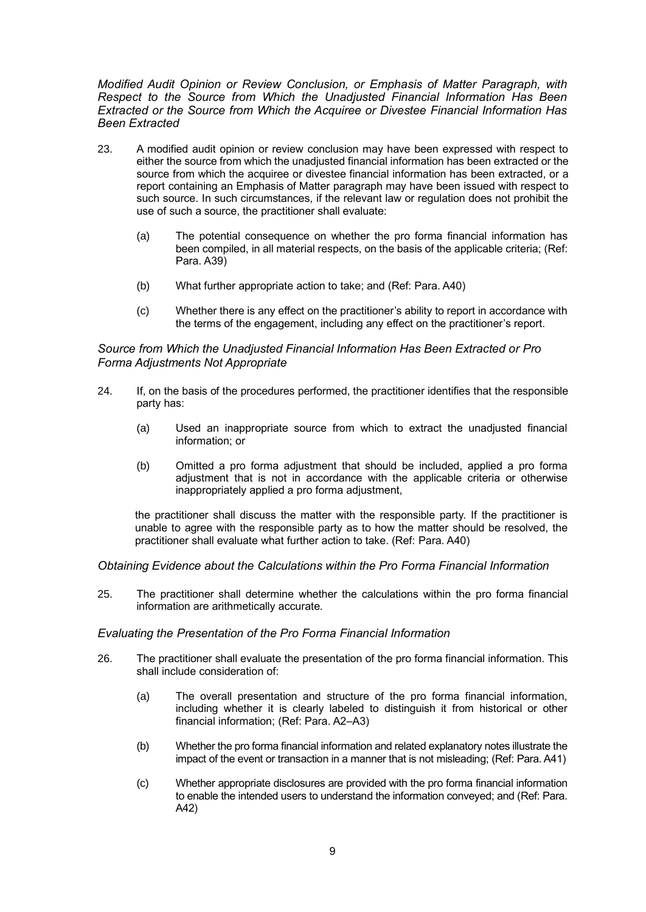*Modified Audit Opinion or Review Conclusion, or Emphasis of Matter Paragraph, with Respect to the Source from Which the Unadjusted Financial Information Has Been Extracted or the Source from Which the Acquiree or Divestee Financial Information Has Been Extracted* 

- 23. A modified audit opinion or review conclusion may have been expressed with respect to either the source from which the unadjusted financial information has been extracted or the source from which the acquiree or divestee financial information has been extracted, or a report containing an Emphasis of Matter paragraph may have been issued with respect to such source. In such circumstances, if the relevant law or regulation does not prohibit the use of such a source, the practitioner shall evaluate:
	- (a) The potential consequence on whether the pro forma financial information has been compiled, in all material respects, on the basis of the applicable criteria; (Ref: Para. A39)
	- (b) What further appropriate action to take; and (Ref: Para. A40)
	- (c) Whether there is any effect on the practitioner's ability to report in accordance with the terms of the engagement, including any effect on the practitioner's report.

#### *Source from Which the Unadjusted Financial Information Has Been Extracted or Pro Forma Adjustments Not Appropriate*

- 24. If, on the basis of the procedures performed, the practitioner identifies that the responsible party has:
	- (a) Used an inappropriate source from which to extract the unadjusted financial information; or
	- (b) Omitted a pro forma adjustment that should be included, applied a pro forma adjustment that is not in accordance with the applicable criteria or otherwise inappropriately applied a pro forma adjustment,

the practitioner shall discuss the matter with the responsible party. If the practitioner is unable to agree with the responsible party as to how the matter should be resolved, the practitioner shall evaluate what further action to take. (Ref: Para. A40)

#### *Obtaining Evidence about the Calculations within the Pro Forma Financial Information*

25. The practitioner shall determine whether the calculations within the pro forma financial information are arithmetically accurate.

#### *Evaluating the Presentation of the Pro Forma Financial Information*

- 26. The practitioner shall evaluate the presentation of the pro forma financial information. This shall include consideration of:
	- (a) The overall presentation and structure of the pro forma financial information, including whether it is clearly labeled to distinguish it from historical or other financial information; (Ref: Para. A2–A3)
	- (b) Whether the pro forma financial information and related explanatory notes illustrate the impact of the event or transaction in a manner that is not misleading; (Ref: Para. A41)
	- (c) Whether appropriate disclosures are provided with the pro forma financial information to enable the intended users to understand the information conveyed; and (Ref: Para. A42)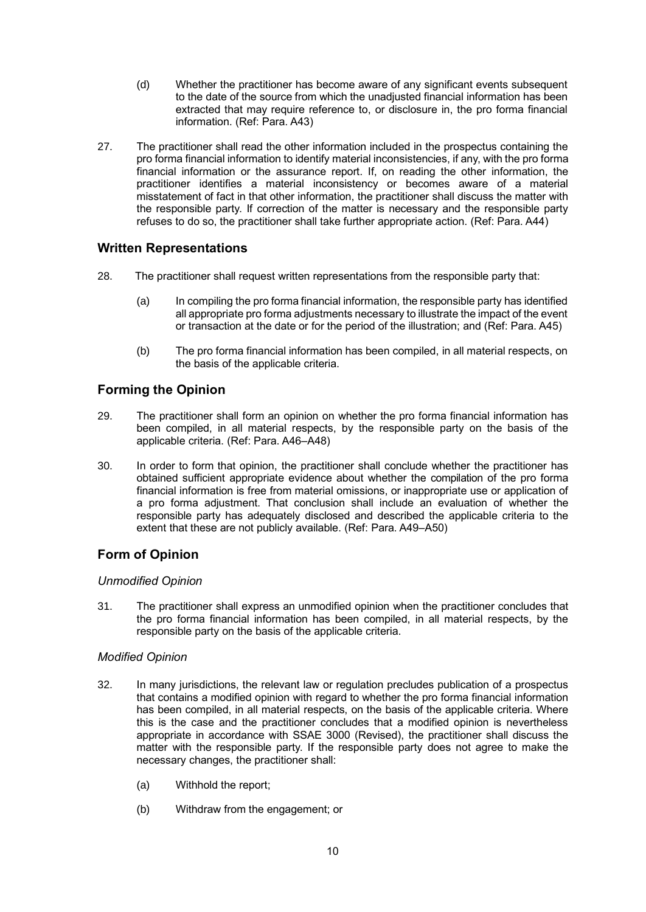- (d) Whether the practitioner has become aware of any significant events subsequent to the date of the source from which the unadjusted financial information has been extracted that may require reference to, or disclosure in, the pro forma financial information. (Ref: Para. A43)
- 27. The practitioner shall read the other information included in the prospectus containing the pro forma financial information to identify material inconsistencies, if any, with the pro forma financial information or the assurance report. If, on reading the other information, the practitioner identifies a material inconsistency or becomes aware of a material misstatement of fact in that other information, the practitioner shall discuss the matter with the responsible party. If correction of the matter is necessary and the responsible party refuses to do so, the practitioner shall take further appropriate action. (Ref: Para. A44)

# **Written Representations**

- 28. The practitioner shall request written representations from the responsible party that:
	- (a) In compiling the pro forma financial information, the responsible party has identified all appropriate pro forma adjustments necessary to illustrate the impact of the event or transaction at the date or for the period of the illustration; and (Ref: Para. A45)
	- (b) The pro forma financial information has been compiled, in all material respects, on the basis of the applicable criteria.

# **Forming the Opinion**

- 29. The practitioner shall form an opinion on whether the pro forma financial information has been compiled, in all material respects, by the responsible party on the basis of the applicable criteria. (Ref: Para. A46–A48)
- 30. In order to form that opinion, the practitioner shall conclude whether the practitioner has obtained sufficient appropriate evidence about whether the compilation of the pro forma financial information is free from material omissions, or inappropriate use or application of a pro forma adjustment. That conclusion shall include an evaluation of whether the responsible party has adequately disclosed and described the applicable criteria to the extent that these are not publicly available. (Ref: Para. A49–A50)

# **Form of Opinion**

### *Unmodified Opinion*

31. The practitioner shall express an unmodified opinion when the practitioner concludes that the pro forma financial information has been compiled, in all material respects, by the responsible party on the basis of the applicable criteria.

### *Modified Opinion*

- 32. In many jurisdictions, the relevant law or regulation precludes publication of a prospectus that contains a modified opinion with regard to whether the pro forma financial information has been compiled, in all material respects, on the basis of the applicable criteria. Where this is the case and the practitioner concludes that a modified opinion is nevertheless appropriate in accordance with SSAE 3000 (Revised), the practitioner shall discuss the matter with the responsible party. If the responsible party does not agree to make the necessary changes, the practitioner shall:
	- (a) Withhold the report;
	- (b) Withdraw from the engagement; or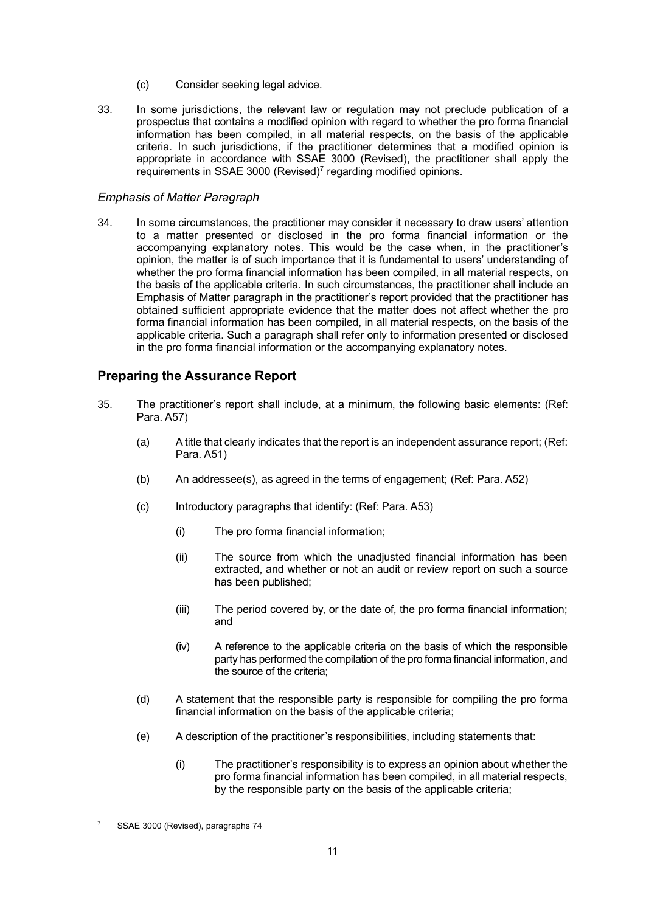- (c) Consider seeking legal advice.
- 33. In some jurisdictions, the relevant law or regulation may not preclude publication of a prospectus that contains a modified opinion with regard to whether the pro forma financial information has been compiled, in all material respects, on the basis of the applicable criteria. In such jurisdictions, if the practitioner determines that a modified opinion is appropriate in accordance with SSAE 3000 (Revised), the practitioner shall apply the requirements in SSAE 3000 (Revised)<sup>7</sup> regarding modified opinions.

#### *Emphasis of Matter Paragraph*

34. In some circumstances, the practitioner may consider it necessary to draw users' attention to a matter presented or disclosed in the pro forma financial information or the accompanying explanatory notes. This would be the case when, in the practitioner's opinion, the matter is of such importance that it is fundamental to users' understanding of whether the pro forma financial information has been compiled, in all material respects, on the basis of the applicable criteria. In such circumstances, the practitioner shall include an Emphasis of Matter paragraph in the practitioner's report provided that the practitioner has obtained sufficient appropriate evidence that the matter does not affect whether the pro forma financial information has been compiled, in all material respects, on the basis of the applicable criteria. Such a paragraph shall refer only to information presented or disclosed in the pro forma financial information or the accompanying explanatory notes.

# **Preparing the Assurance Report**

- 35. The practitioner's report shall include, at a minimum, the following basic elements: (Ref: Para. A57)
	- (a) A title that clearly indicates that the report is an independent assurance report; (Ref: Para. A51)
	- (b) An addressee(s), as agreed in the terms of engagement; (Ref: Para. A52)
	- (c) Introductory paragraphs that identify: (Ref: Para. A53)
		- (i) The pro forma financial information;
		- (ii) The source from which the unadjusted financial information has been extracted, and whether or not an audit or review report on such a source has been published;
		- (iii) The period covered by, or the date of, the pro forma financial information; and
		- (iv) A reference to the applicable criteria on the basis of which the responsible party has performed the compilation of the pro forma financial information, and the source of the criteria;
	- (d) A statement that the responsible party is responsible for compiling the pro forma financial information on the basis of the applicable criteria;
	- (e) A description of the practitioner's responsibilities, including statements that:
		- (i) The practitioner's responsibility is to express an opinion about whether the pro forma financial information has been compiled, in all material respects, by the responsible party on the basis of the applicable criteria;

SSAE 3000 (Revised), paragraphs 74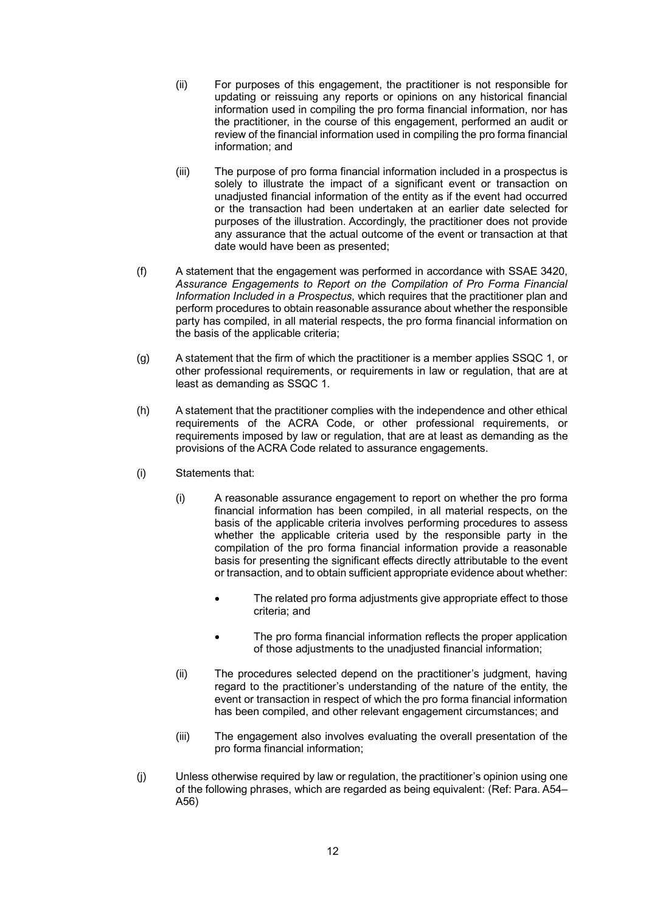- (ii) For purposes of this engagement, the practitioner is not responsible for updating or reissuing any reports or opinions on any historical financial information used in compiling the pro forma financial information, nor has the practitioner, in the course of this engagement, performed an audit or review of the financial information used in compiling the pro forma financial information; and
- (iii) The purpose of pro forma financial information included in a prospectus is solely to illustrate the impact of a significant event or transaction on unadjusted financial information of the entity as if the event had occurred or the transaction had been undertaken at an earlier date selected for purposes of the illustration. Accordingly, the practitioner does not provide any assurance that the actual outcome of the event or transaction at that date would have been as presented;
- (f) A statement that the engagement was performed in accordance with SSAE 3420, *Assurance Engagements to Report on the Compilation of Pro Forma Financial Information Included in a Prospectus*, which requires that the practitioner plan and perform procedures to obtain reasonable assurance about whether the responsible party has compiled, in all material respects, the pro forma financial information on the basis of the applicable criteria;
- (g) A statement that the firm of which the practitioner is a member applies SSQC 1, or other professional requirements, or requirements in law or regulation, that are at least as demanding as SSQC 1.
- (h) A statement that the practitioner complies with the independence and other ethical requirements of the ACRA Code, or other professional requirements, or requirements imposed by law or regulation, that are at least as demanding as the provisions of the ACRA Code related to assurance engagements.
- (i) Statements that:
	- (i) A reasonable assurance engagement to report on whether the pro forma financial information has been compiled, in all material respects, on the basis of the applicable criteria involves performing procedures to assess whether the applicable criteria used by the responsible party in the compilation of the pro forma financial information provide a reasonable basis for presenting the significant effects directly attributable to the event or transaction, and to obtain sufficient appropriate evidence about whether:
		- The related pro forma adjustments give appropriate effect to those criteria; and
		- The pro forma financial information reflects the proper application of those adjustments to the unadjusted financial information;
	- (ii) The procedures selected depend on the practitioner's judgment, having regard to the practitioner's understanding of the nature of the entity, the event or transaction in respect of which the pro forma financial information has been compiled, and other relevant engagement circumstances; and
	- (iii) The engagement also involves evaluating the overall presentation of the pro forma financial information;
- (j) Unless otherwise required by law or regulation, the practitioner's opinion using one of the following phrases, which are regarded as being equivalent: (Ref: Para. A54– A56)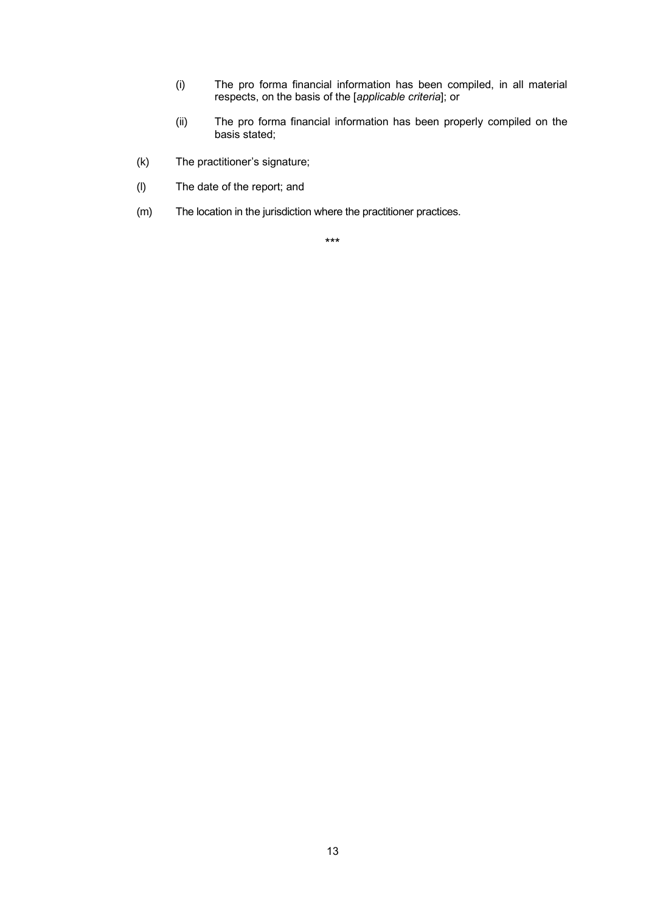- (i) The pro forma financial information has been compiled, in all material respects, on the basis of the [*applicable criteria*]; or
- (ii) The pro forma financial information has been properly compiled on the basis stated;
- (k) The practitioner's signature;
- (l) The date of the report; and
- (m) The location in the jurisdiction where the practitioner practices.

\*\*\*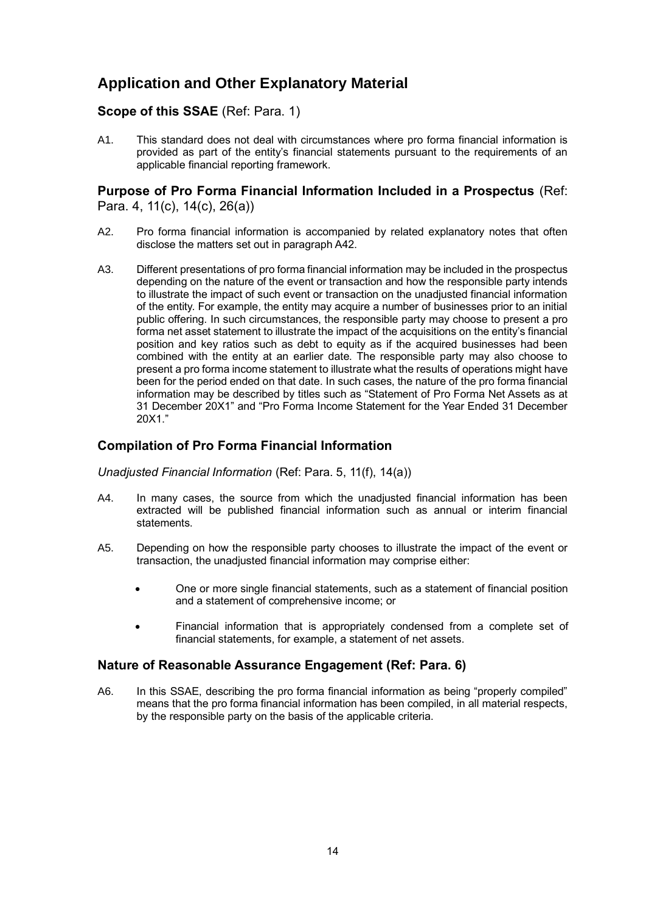# **Application and Other Explanatory Material**

# **Scope of this SSAE** (Ref: Para. 1)

A1. This standard does not deal with circumstances where pro forma financial information is provided as part of the entity's financial statements pursuant to the requirements of an applicable financial reporting framework.

## **Purpose of Pro Forma Financial Information Included in a Prospectus** (Ref: Para. 4, 11(c), 14(c), 26(a))

- A2. Pro forma financial information is accompanied by related explanatory notes that often disclose the matters set out in paragraph A42.
- A3. Different presentations of pro forma financial information may be included in the prospectus depending on the nature of the event or transaction and how the responsible party intends to illustrate the impact of such event or transaction on the unadjusted financial information of the entity. For example, the entity may acquire a number of businesses prior to an initial public offering. In such circumstances, the responsible party may choose to present a pro forma net asset statement to illustrate the impact of the acquisitions on the entity's financial position and key ratios such as debt to equity as if the acquired businesses had been combined with the entity at an earlier date. The responsible party may also choose to present a pro forma income statement to illustrate what the results of operations might have been for the period ended on that date. In such cases, the nature of the pro forma financial information may be described by titles such as "Statement of Pro Forma Net Assets as at 31 December 20X1" and "Pro Forma Income Statement for the Year Ended 31 December 20X1."

# **Compilation of Pro Forma Financial Information**

*Unadjusted Financial Information* (Ref: Para. 5, 11(f), 14(a))

- A4. In many cases, the source from which the unadjusted financial information has been extracted will be published financial information such as annual or interim financial statements.
- A5. Depending on how the responsible party chooses to illustrate the impact of the event or transaction, the unadjusted financial information may comprise either:
	- One or more single financial statements, such as a statement of financial position and a statement of comprehensive income; or
	- Financial information that is appropriately condensed from a complete set of financial statements, for example, a statement of net assets.

#### **Nature of Reasonable Assurance Engagement (Ref: Para. 6)**

A6. In this SSAE, describing the pro forma financial information as being "properly compiled" means that the pro forma financial information has been compiled, in all material respects, by the responsible party on the basis of the applicable criteria.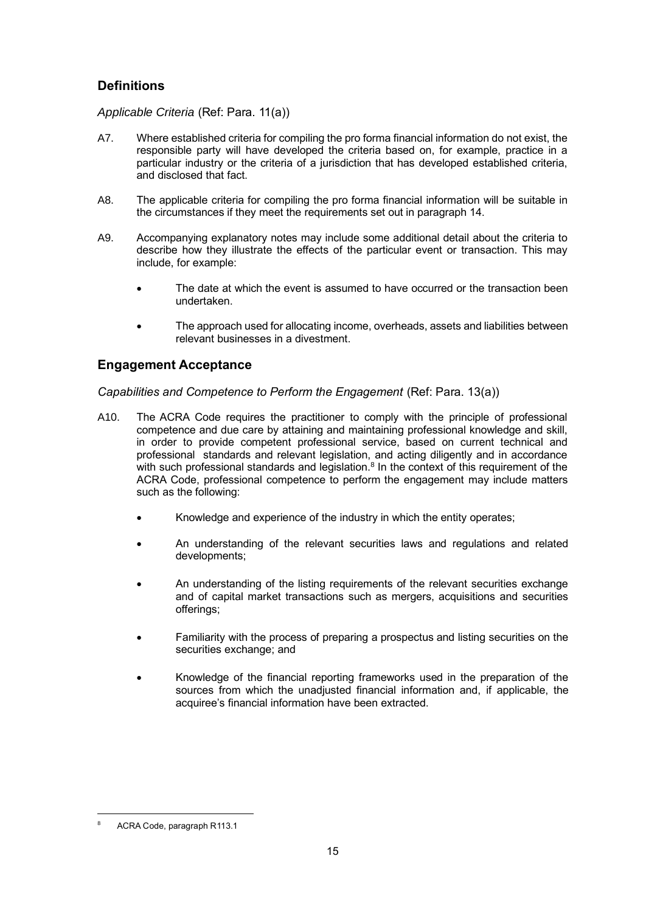# **Definitions**

*Applicable Criteria* (Ref: Para. 11(a))

- A7. Where established criteria for compiling the pro forma financial information do not exist, the responsible party will have developed the criteria based on, for example, practice in a particular industry or the criteria of a jurisdiction that has developed established criteria, and disclosed that fact.
- A8. The applicable criteria for compiling the pro forma financial information will be suitable in the circumstances if they meet the requirements set out in paragraph 14.
- A9. Accompanying explanatory notes may include some additional detail about the criteria to describe how they illustrate the effects of the particular event or transaction. This may include, for example:
	- The date at which the event is assumed to have occurred or the transaction been undertaken.
	- The approach used for allocating income, overheads, assets and liabilities between relevant businesses in a divestment.

# **Engagement Acceptance**

*Capabilities and Competence to Perform the Engagement* (Ref: Para. 13(a))

- A10. The ACRA Code requires the practitioner to comply with the principle of professional competence and due care by attaining and maintaining professional knowledge and skill, in order to provide competent professional service, based on current technical and professional standards and relevant legislation, and acting diligently and in accordance with such professional standards and legislation.<sup>8</sup> In the context of this requirement of the ACRA Code, professional competence to perform the engagement may include matters such as the following:
	- Knowledge and experience of the industry in which the entity operates:
	- An understanding of the relevant securities laws and regulations and related developments;
	- An understanding of the listing requirements of the relevant securities exchange and of capital market transactions such as mergers, acquisitions and securities offerings;
	- Familiarity with the process of preparing a prospectus and listing securities on the securities exchange; and
	- Knowledge of the financial reporting frameworks used in the preparation of the sources from which the unadjusted financial information and, if applicable, the acquiree's financial information have been extracted.

<sup>8</sup> ACRA Code, paragraph R113.1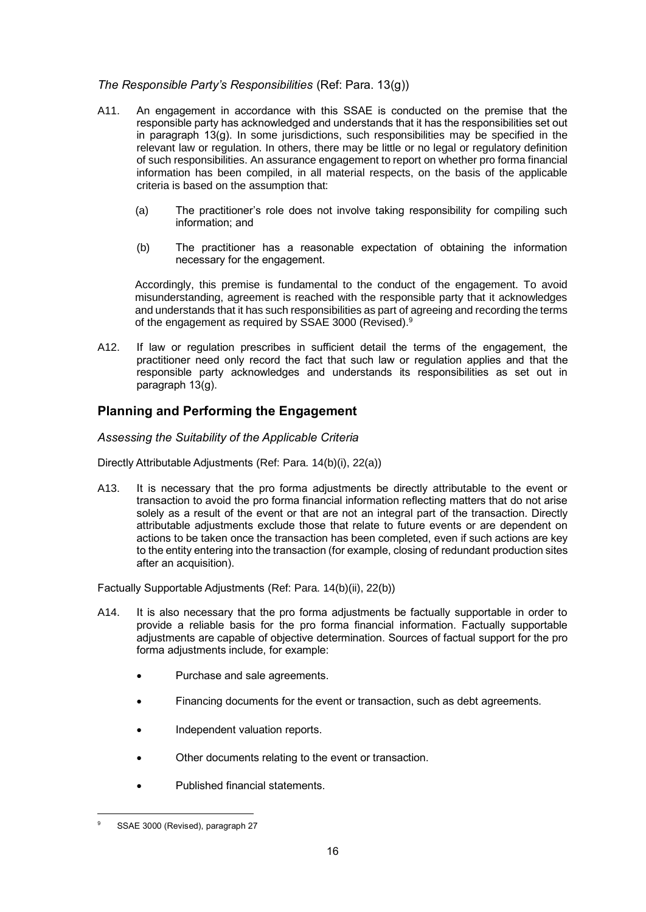#### *The Responsible Party's Responsibilities* (Ref: Para. 13(g))

- A11. An engagement in accordance with this SSAE is conducted on the premise that the responsible party has acknowledged and understands that it has the responsibilities set out in paragraph  $13(q)$ . In some jurisdictions, such responsibilities may be specified in the relevant law or regulation. In others, there may be little or no legal or regulatory definition of such responsibilities. An assurance engagement to report on whether pro forma financial information has been compiled, in all material respects, on the basis of the applicable criteria is based on the assumption that:
	- (a) The practitioner's role does not involve taking responsibility for compiling such information; and
	- (b) The practitioner has a reasonable expectation of obtaining the information necessary for the engagement.

Accordingly, this premise is fundamental to the conduct of the engagement. To avoid misunderstanding, agreement is reached with the responsible party that it acknowledges and understands that it has such responsibilities as part of agreeing and recording the terms of the engagement as required by SSAE 3000 (Revised).<sup>9</sup>

A12. If law or regulation prescribes in sufficient detail the terms of the engagement, the practitioner need only record the fact that such law or regulation applies and that the responsible party acknowledges and understands its responsibilities as set out in paragraph 13(g).

# **Planning and Performing the Engagement**

#### *Assessing the Suitability of the Applicable Criteria*

Directly Attributable Adjustments (Ref: Para. 14(b)(i), 22(a))

A13. It is necessary that the pro forma adjustments be directly attributable to the event or transaction to avoid the pro forma financial information reflecting matters that do not arise solely as a result of the event or that are not an integral part of the transaction. Directly attributable adjustments exclude those that relate to future events or are dependent on actions to be taken once the transaction has been completed, even if such actions are key to the entity entering into the transaction (for example, closing of redundant production sites after an acquisition).

Factually Supportable Adjustments (Ref: Para. 14(b)(ii), 22(b))

- A14. It is also necessary that the pro forma adjustments be factually supportable in order to provide a reliable basis for the pro forma financial information. Factually supportable adjustments are capable of objective determination. Sources of factual support for the pro forma adjustments include, for example:
	- Purchase and sale agreements.
	- Financing documents for the event or transaction, such as debt agreements.
	- Independent valuation reports.
	- Other documents relating to the event or transaction.
	- Published financial statements.

SSAE 3000 (Revised), paragraph 27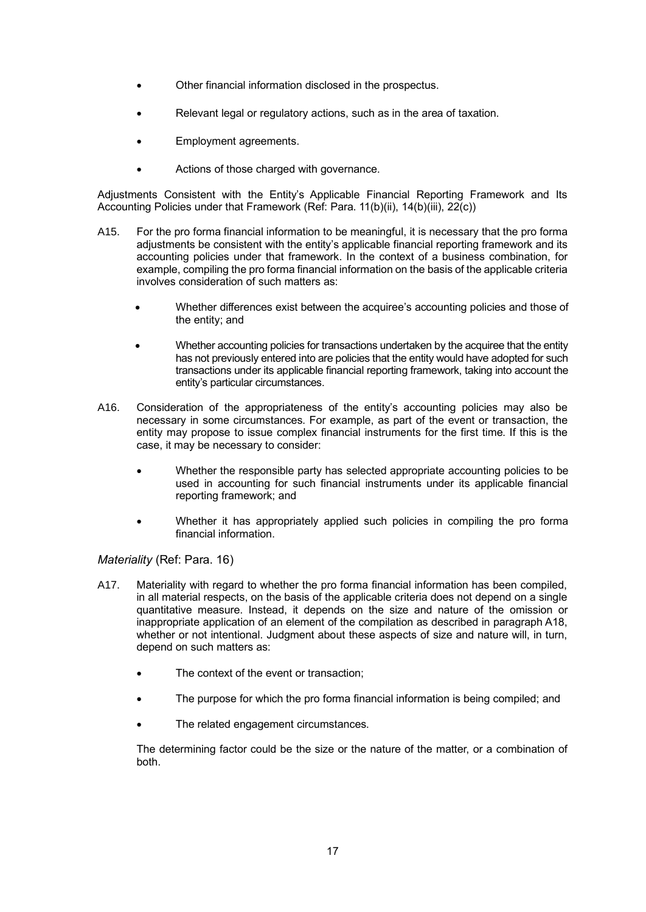- Other financial information disclosed in the prospectus.
- Relevant legal or regulatory actions, such as in the area of taxation.
- Employment agreements.
- Actions of those charged with governance.

Adjustments Consistent with the Entity's Applicable Financial Reporting Framework and Its Accounting Policies under that Framework (Ref: Para. 11(b)(ii), 14(b)(iii), 22(c))

- A15. For the pro forma financial information to be meaningful, it is necessary that the pro forma adjustments be consistent with the entity's applicable financial reporting framework and its accounting policies under that framework. In the context of a business combination, for example, compiling the pro forma financial information on the basis of the applicable criteria involves consideration of such matters as:
	- Whether differences exist between the acquiree's accounting policies and those of the entity; and
	- Whether accounting policies for transactions undertaken by the acquiree that the entity has not previously entered into are policies that the entity would have adopted for such transactions under its applicable financial reporting framework, taking into account the entity's particular circumstances.
- A16. Consideration of the appropriateness of the entity's accounting policies may also be necessary in some circumstances. For example, as part of the event or transaction, the entity may propose to issue complex financial instruments for the first time. If this is the case, it may be necessary to consider:
	- Whether the responsible party has selected appropriate accounting policies to be used in accounting for such financial instruments under its applicable financial reporting framework; and
	- Whether it has appropriately applied such policies in compiling the pro forma financial information.

#### *Materiality* (Ref: Para. 16)

- A17. Materiality with regard to whether the pro forma financial information has been compiled, in all material respects, on the basis of the applicable criteria does not depend on a single quantitative measure. Instead, it depends on the size and nature of the omission or inappropriate application of an element of the compilation as described in paragraph A18, whether or not intentional. Judgment about these aspects of size and nature will, in turn, depend on such matters as:
	- The context of the event or transaction:
	- The purpose for which the pro forma financial information is being compiled; and
	- The related engagement circumstances.

The determining factor could be the size or the nature of the matter, or a combination of both.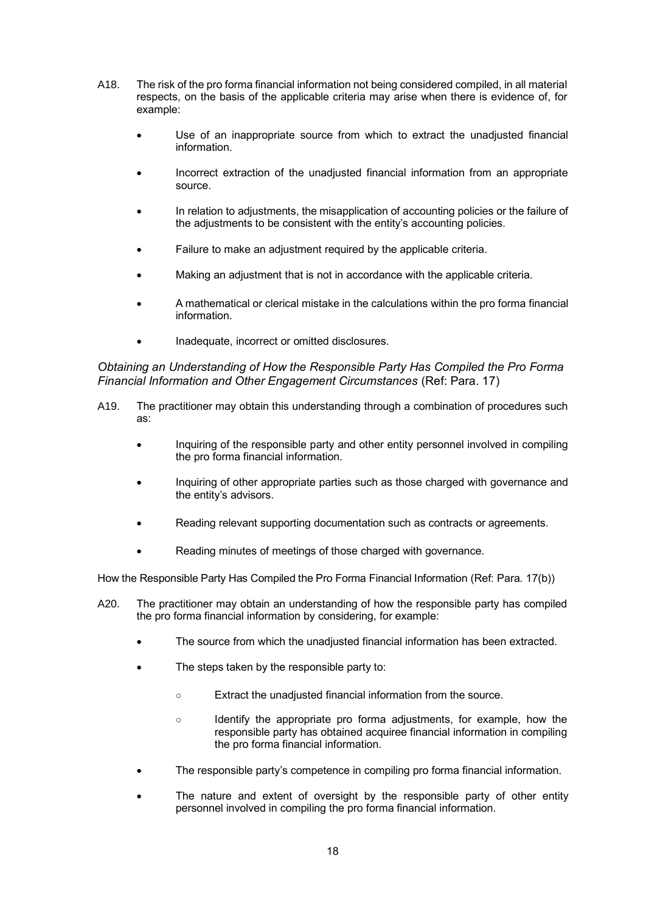- A18. The risk of the pro forma financial information not being considered compiled, in all material respects, on the basis of the applicable criteria may arise when there is evidence of, for example:
	- Use of an inappropriate source from which to extract the unadjusted financial information.
	- Incorrect extraction of the unadjusted financial information from an appropriate source.
	- In relation to adjustments, the misapplication of accounting policies or the failure of the adjustments to be consistent with the entity's accounting policies.
	- Failure to make an adjustment required by the applicable criteria.
	- Making an adjustment that is not in accordance with the applicable criteria.
	- A mathematical or clerical mistake in the calculations within the pro forma financial information.
	- Inadequate, incorrect or omitted disclosures.

*Obtaining an Understanding of How the Responsible Party Has Compiled the Pro Forma Financial Information and Other Engagement Circumstances* (Ref: Para. 17)

- A19. The practitioner may obtain this understanding through a combination of procedures such as:
	- Inquiring of the responsible party and other entity personnel involved in compiling the pro forma financial information.
	- Inquiring of other appropriate parties such as those charged with governance and the entity's advisors.
	- Reading relevant supporting documentation such as contracts or agreements.
	- Reading minutes of meetings of those charged with governance.

How the Responsible Party Has Compiled the Pro Forma Financial Information (Ref: Para. 17(b))

- A20. The practitioner may obtain an understanding of how the responsible party has compiled the pro forma financial information by considering, for example:
	- The source from which the unadjusted financial information has been extracted.
	- The steps taken by the responsible party to:
		- Extract the unadjusted financial information from the source.
		- Identify the appropriate pro forma adjustments, for example, how the responsible party has obtained acquiree financial information in compiling the pro forma financial information.
	- The responsible party's competence in compiling pro forma financial information.
	- The nature and extent of oversight by the responsible party of other entity personnel involved in compiling the pro forma financial information.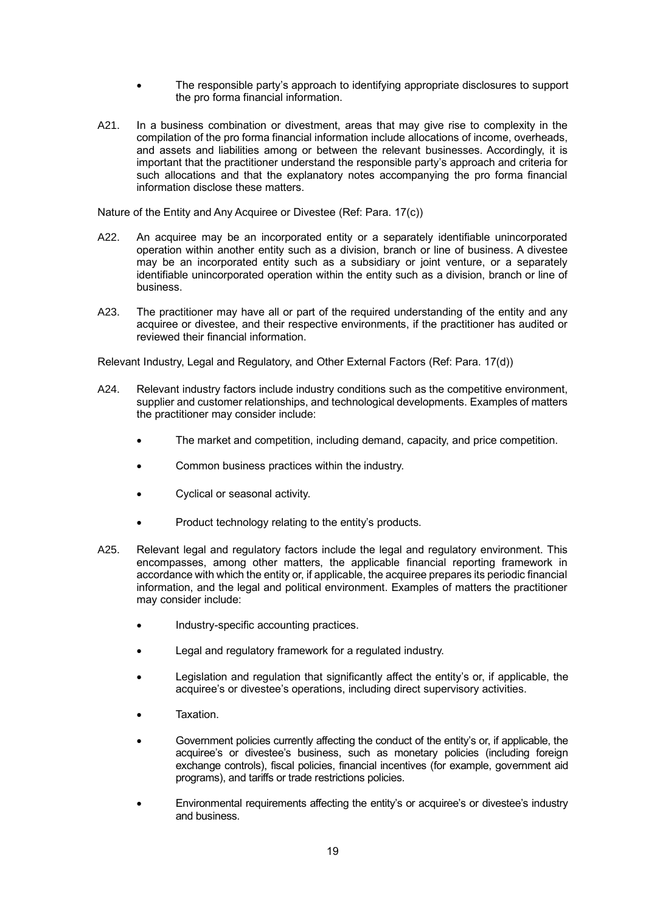- The responsible party's approach to identifying appropriate disclosures to support the pro forma financial information.
- A21. In a business combination or divestment, areas that may give rise to complexity in the compilation of the pro forma financial information include allocations of income, overheads, and assets and liabilities among or between the relevant businesses. Accordingly, it is important that the practitioner understand the responsible party's approach and criteria for such allocations and that the explanatory notes accompanying the pro forma financial information disclose these matters.

Nature of the Entity and Any Acquiree or Divestee (Ref: Para. 17(c))

- A22. An acquiree may be an incorporated entity or a separately identifiable unincorporated operation within another entity such as a division, branch or line of business. A divestee may be an incorporated entity such as a subsidiary or joint venture, or a separately identifiable unincorporated operation within the entity such as a division, branch or line of business.
- A23. The practitioner may have all or part of the required understanding of the entity and any acquiree or divestee, and their respective environments, if the practitioner has audited or reviewed their financial information.

Relevant Industry, Legal and Regulatory, and Other External Factors (Ref: Para. 17(d))

- A24. Relevant industry factors include industry conditions such as the competitive environment, supplier and customer relationships, and technological developments. Examples of matters the practitioner may consider include:
	- The market and competition, including demand, capacity, and price competition.
	- Common business practices within the industry.
	- Cyclical or seasonal activity.
	- Product technology relating to the entity's products.
- A25. Relevant legal and regulatory factors include the legal and regulatory environment. This encompasses, among other matters, the applicable financial reporting framework in accordance with which the entity or, if applicable, the acquiree prepares its periodic financial information, and the legal and political environment. Examples of matters the practitioner may consider include:
	- Industry-specific accounting practices.
	- Legal and regulatory framework for a regulated industry.
	- Legislation and regulation that significantly affect the entity's or, if applicable, the acquiree's or divestee's operations, including direct supervisory activities.
	- Taxation.
	- Government policies currently affecting the conduct of the entity's or, if applicable, the acquiree's or divestee's business, such as monetary policies (including foreign exchange controls), fiscal policies, financial incentives (for example, government aid programs), and tariffs or trade restrictions policies.
	- Environmental requirements affecting the entity's or acquiree's or divestee's industry and business.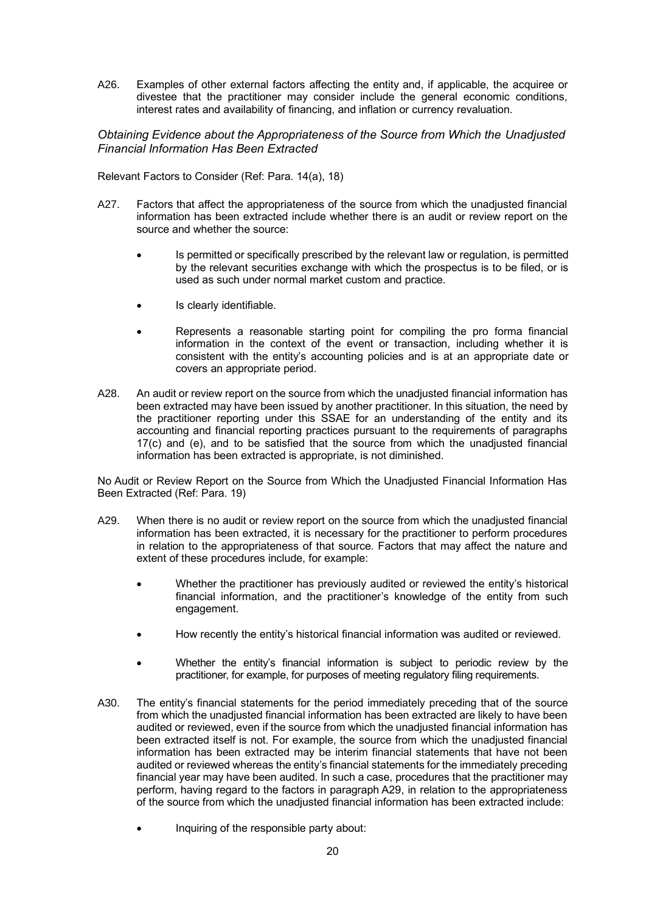A26. Examples of other external factors affecting the entity and, if applicable, the acquiree or divestee that the practitioner may consider include the general economic conditions, interest rates and availability of financing, and inflation or currency revaluation.

*Obtaining Evidence about the Appropriateness of the Source from Which the Unadjusted Financial Information Has Been Extracted*

Relevant Factors to Consider (Ref: Para. 14(a), 18)

- A27. Factors that affect the appropriateness of the source from which the unadjusted financial information has been extracted include whether there is an audit or review report on the source and whether the source:
	- Is permitted or specifically prescribed by the relevant law or regulation, is permitted by the relevant securities exchange with which the prospectus is to be filed, or is used as such under normal market custom and practice.
	- Is clearly identifiable.
	- Represents a reasonable starting point for compiling the pro forma financial information in the context of the event or transaction, including whether it is consistent with the entity's accounting policies and is at an appropriate date or covers an appropriate period.
- A28. An audit or review report on the source from which the unadjusted financial information has been extracted may have been issued by another practitioner. In this situation, the need by the practitioner reporting under this SSAE for an understanding of the entity and its accounting and financial reporting practices pursuant to the requirements of paragraphs 17(c) and (e), and to be satisfied that the source from which the unadjusted financial information has been extracted is appropriate, is not diminished.

No Audit or Review Report on the Source from Which the Unadjusted Financial Information Has Been Extracted (Ref: Para. 19)

- A29. When there is no audit or review report on the source from which the unadjusted financial information has been extracted, it is necessary for the practitioner to perform procedures in relation to the appropriateness of that source. Factors that may affect the nature and extent of these procedures include, for example:
	- Whether the practitioner has previously audited or reviewed the entity's historical financial information, and the practitioner's knowledge of the entity from such engagement.
	- How recently the entity's historical financial information was audited or reviewed.
	- Whether the entity's financial information is subject to periodic review by the practitioner, for example, for purposes of meeting regulatory filing requirements.
- A30. The entity's financial statements for the period immediately preceding that of the source from which the unadjusted financial information has been extracted are likely to have been audited or reviewed, even if the source from which the unadjusted financial information has been extracted itself is not. For example, the source from which the unadjusted financial information has been extracted may be interim financial statements that have not been audited or reviewed whereas the entity's financial statements for the immediately preceding financial year may have been audited. In such a case, procedures that the practitioner may perform, having regard to the factors in paragraph A29, in relation to the appropriateness of the source from which the unadjusted financial information has been extracted include:
	- Inquiring of the responsible party about: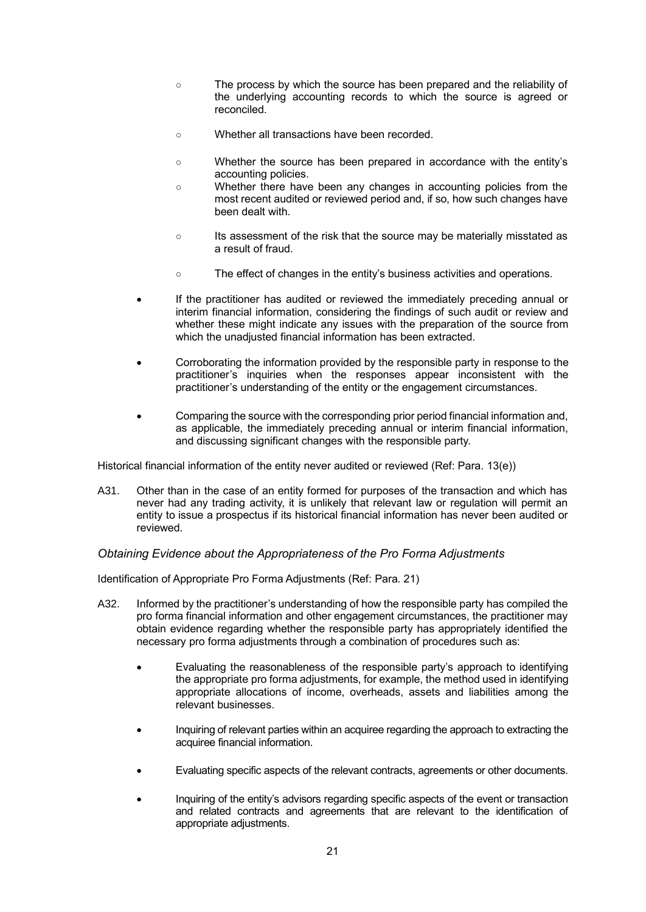- The process by which the source has been prepared and the reliability of the underlying accounting records to which the source is agreed or reconciled.
- Whether all transactions have been recorded.
- Whether the source has been prepared in accordance with the entity's accounting policies.
- Whether there have been any changes in accounting policies from the most recent audited or reviewed period and, if so, how such changes have been dealt with.
- Its assessment of the risk that the source may be materially misstated as a result of fraud.
- The effect of changes in the entity's business activities and operations.
- If the practitioner has audited or reviewed the immediately preceding annual or interim financial information, considering the findings of such audit or review and whether these might indicate any issues with the preparation of the source from which the unadjusted financial information has been extracted.
- Corroborating the information provided by the responsible party in response to the practitioner's inquiries when the responses appear inconsistent with the practitioner's understanding of the entity or the engagement circumstances.
- Comparing the source with the corresponding prior period financial information and, as applicable, the immediately preceding annual or interim financial information, and discussing significant changes with the responsible party.

Historical financial information of the entity never audited or reviewed (Ref: Para. 13(e))

A31. Other than in the case of an entity formed for purposes of the transaction and which has never had any trading activity, it is unlikely that relevant law or regulation will permit an entity to issue a prospectus if its historical financial information has never been audited or reviewed.

#### *Obtaining Evidence about the Appropriateness of the Pro Forma Adjustments*

Identification of Appropriate Pro Forma Adjustments (Ref: Para. 21)

- A32. Informed by the practitioner's understanding of how the responsible party has compiled the pro forma financial information and other engagement circumstances, the practitioner may obtain evidence regarding whether the responsible party has appropriately identified the necessary pro forma adjustments through a combination of procedures such as:
	- Evaluating the reasonableness of the responsible party's approach to identifying the appropriate pro forma adjustments, for example, the method used in identifying appropriate allocations of income, overheads, assets and liabilities among the relevant businesses.
	- Inquiring of relevant parties within an acquiree regarding the approach to extracting the acquiree financial information.
	- Evaluating specific aspects of the relevant contracts, agreements or other documents.
	- Inquiring of the entity's advisors regarding specific aspects of the event or transaction and related contracts and agreements that are relevant to the identification of appropriate adjustments.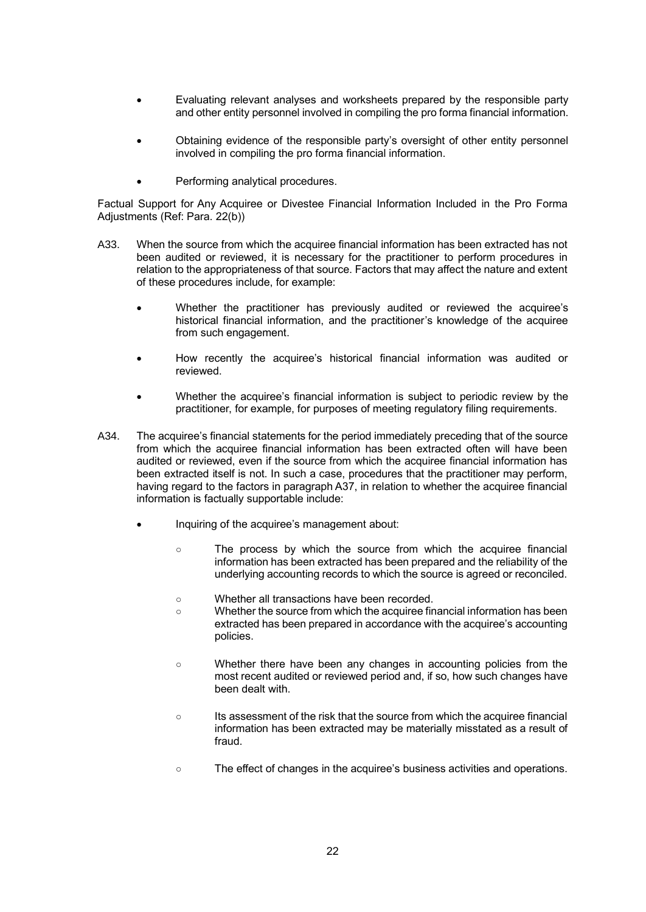- Evaluating relevant analyses and worksheets prepared by the responsible party and other entity personnel involved in compiling the pro forma financial information.
- Obtaining evidence of the responsible party's oversight of other entity personnel involved in compiling the pro forma financial information.
- Performing analytical procedures.

Factual Support for Any Acquiree or Divestee Financial Information Included in the Pro Forma Adjustments (Ref: Para. 22(b))

- A33. When the source from which the acquiree financial information has been extracted has not been audited or reviewed, it is necessary for the practitioner to perform procedures in relation to the appropriateness of that source. Factors that may affect the nature and extent of these procedures include, for example:
	- Whether the practitioner has previously audited or reviewed the acquiree's historical financial information, and the practitioner's knowledge of the acquiree from such engagement.
	- How recently the acquiree's historical financial information was audited or reviewed.
	- Whether the acquiree's financial information is subject to periodic review by the practitioner, for example, for purposes of meeting regulatory filing requirements.
- A34. The acquiree's financial statements for the period immediately preceding that of the source from which the acquiree financial information has been extracted often will have been audited or reviewed, even if the source from which the acquiree financial information has been extracted itself is not. In such a case, procedures that the practitioner may perform, having regard to the factors in paragraph A37, in relation to whether the acquiree financial information is factually supportable include:
	- Inquiring of the acquiree's management about:
		- The process by which the source from which the acquiree financial information has been extracted has been prepared and the reliability of the underlying accounting records to which the source is agreed or reconciled.
		- Whether all transactions have been recorded.
		- Whether the source from which the acquiree financial information has been extracted has been prepared in accordance with the acquiree's accounting policies.
		- Whether there have been any changes in accounting policies from the most recent audited or reviewed period and, if so, how such changes have been dealt with.
		- Its assessment of the risk that the source from which the acquiree financial information has been extracted may be materially misstated as a result of fraud.
		- The effect of changes in the acquiree's business activities and operations.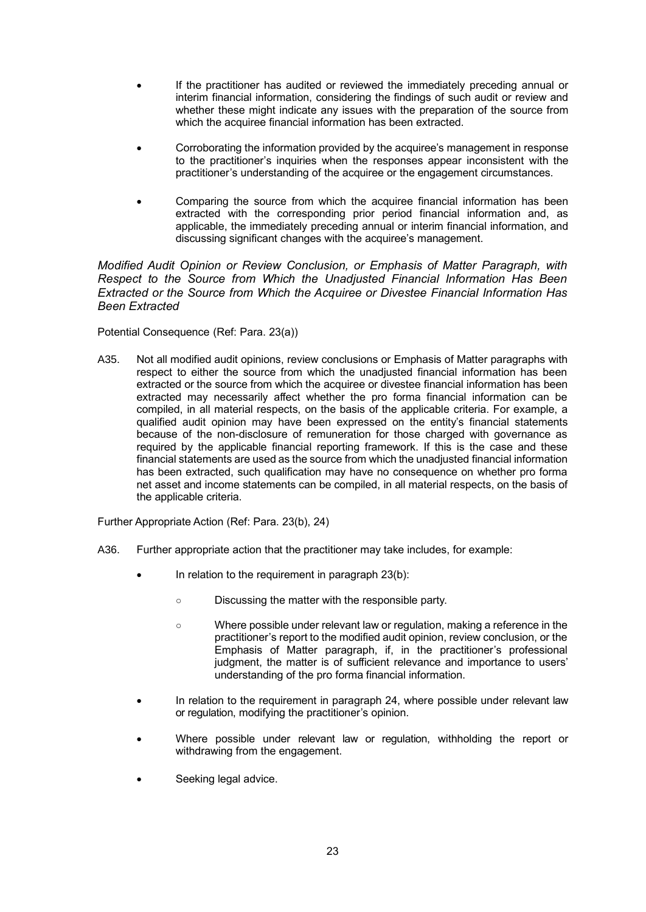- If the practitioner has audited or reviewed the immediately preceding annual or interim financial information, considering the findings of such audit or review and whether these might indicate any issues with the preparation of the source from which the acquiree financial information has been extracted.
- Corroborating the information provided by the acquiree's management in response to the practitioner's inquiries when the responses appear inconsistent with the practitioner's understanding of the acquiree or the engagement circumstances.
- Comparing the source from which the acquiree financial information has been extracted with the corresponding prior period financial information and, as applicable, the immediately preceding annual or interim financial information, and discussing significant changes with the acquiree's management.

*Modified Audit Opinion or Review Conclusion, or Emphasis of Matter Paragraph, with Respect to the Source from Which the Unadjusted Financial Information Has Been Extracted or the Source from Which the Acquiree or Divestee Financial Information Has Been Extracted* 

Potential Consequence (Ref: Para. 23(a))

A35. Not all modified audit opinions, review conclusions or Emphasis of Matter paragraphs with respect to either the source from which the unadjusted financial information has been extracted or the source from which the acquiree or divestee financial information has been extracted may necessarily affect whether the pro forma financial information can be compiled, in all material respects, on the basis of the applicable criteria. For example, a qualified audit opinion may have been expressed on the entity's financial statements because of the non-disclosure of remuneration for those charged with governance as required by the applicable financial reporting framework. If this is the case and these financial statements are used as the source from which the unadjusted financial information has been extracted, such qualification may have no consequence on whether pro forma net asset and income statements can be compiled, in all material respects, on the basis of the applicable criteria.

Further Appropriate Action (Ref: Para. 23(b), 24)

- A36. Further appropriate action that the practitioner may take includes, for example:
	- In relation to the requirement in paragraph  $23(b)$ :
		- Discussing the matter with the responsible party.
		- Where possible under relevant law or regulation, making a reference in the practitioner's report to the modified audit opinion, review conclusion, or the Emphasis of Matter paragraph, if, in the practitioner's professional judgment, the matter is of sufficient relevance and importance to users' understanding of the pro forma financial information.
	- In relation to the requirement in paragraph 24, where possible under relevant law or regulation, modifying the practitioner's opinion.
	- Where possible under relevant law or regulation, withholding the report or withdrawing from the engagement.
	- Seeking legal advice.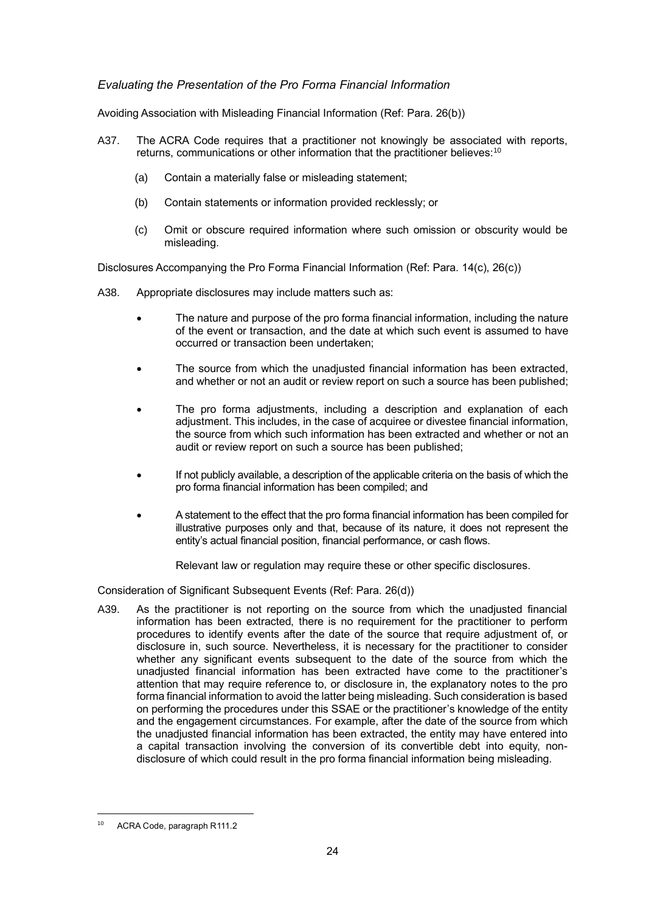### *Evaluating the Presentation of the Pro Forma Financial Information*

Avoiding Association with Misleading Financial Information (Ref: Para. 26(b))

- A37. The ACRA Code requires that a practitioner not knowingly be associated with reports, returns, communications or other information that the practitioner believes:<sup>10</sup>
	- (a) Contain a materially false or misleading statement;
	- (b) Contain statements or information provided recklessly; or
	- (c) Omit or obscure required information where such omission or obscurity would be misleading.

Disclosures Accompanying the Pro Forma Financial Information (Ref: Para. 14(c), 26(c))

- A38. Appropriate disclosures may include matters such as:
	- The nature and purpose of the pro forma financial information, including the nature of the event or transaction, and the date at which such event is assumed to have occurred or transaction been undertaken;
	- The source from which the unadjusted financial information has been extracted, and whether or not an audit or review report on such a source has been published;
	- The pro forma adjustments, including a description and explanation of each adjustment. This includes, in the case of acquiree or divestee financial information, the source from which such information has been extracted and whether or not an audit or review report on such a source has been published;
	- If not publicly available, a description of the applicable criteria on the basis of which the pro forma financial information has been compiled; and
	- A statement to the effect that the pro forma financial information has been compiled for illustrative purposes only and that, because of its nature, it does not represent the entity's actual financial position, financial performance, or cash flows.

Relevant law or regulation may require these or other specific disclosures.

Consideration of Significant Subsequent Events (Ref: Para. 26(d))

A39. As the practitioner is not reporting on the source from which the unadjusted financial information has been extracted, there is no requirement for the practitioner to perform procedures to identify events after the date of the source that require adjustment of, or disclosure in, such source. Nevertheless, it is necessary for the practitioner to consider whether any significant events subsequent to the date of the source from which the unadjusted financial information has been extracted have come to the practitioner's attention that may require reference to, or disclosure in, the explanatory notes to the pro forma financial information to avoid the latter being misleading. Such consideration is based on performing the procedures under this SSAE or the practitioner's knowledge of the entity and the engagement circumstances. For example, after the date of the source from which the unadjusted financial information has been extracted, the entity may have entered into a capital transaction involving the conversion of its convertible debt into equity, nondisclosure of which could result in the pro forma financial information being misleading.

ACRA Code, paragraph R111.2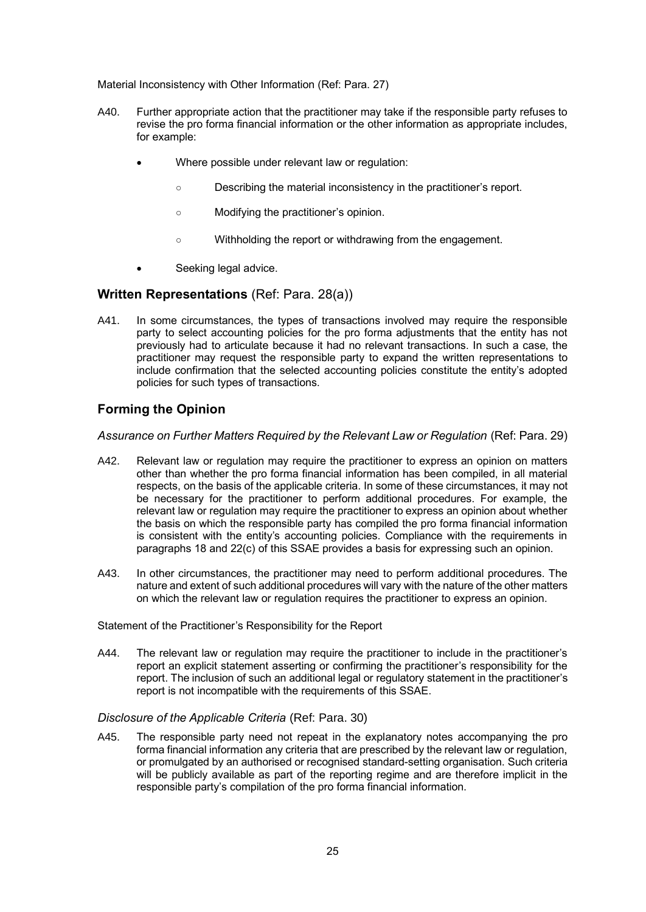Material Inconsistency with Other Information (Ref: Para. 27)

- A40. Further appropriate action that the practitioner may take if the responsible party refuses to revise the pro forma financial information or the other information as appropriate includes, for example:
	- Where possible under relevant law or regulation:
		- Describing the material inconsistency in the practitioner's report.
		- Modifying the practitioner's opinion.
		- Withholding the report or withdrawing from the engagement.
	- Seeking legal advice.

#### **Written Representations** (Ref: Para. 28(a))

A41. In some circumstances, the types of transactions involved may require the responsible party to select accounting policies for the pro forma adjustments that the entity has not previously had to articulate because it had no relevant transactions. In such a case, the practitioner may request the responsible party to expand the written representations to include confirmation that the selected accounting policies constitute the entity's adopted policies for such types of transactions.

# **Forming the Opinion**

#### *Assurance on Further Matters Required by the Relevant Law or Regulation* (Ref: Para. 29)

- A42. Relevant law or regulation may require the practitioner to express an opinion on matters other than whether the pro forma financial information has been compiled, in all material respects, on the basis of the applicable criteria. In some of these circumstances, it may not be necessary for the practitioner to perform additional procedures. For example, the relevant law or regulation may require the practitioner to express an opinion about whether the basis on which the responsible party has compiled the pro forma financial information is consistent with the entity's accounting policies. Compliance with the requirements in paragraphs 18 and 22(c) of this SSAE provides a basis for expressing such an opinion.
- A43. In other circumstances, the practitioner may need to perform additional procedures. The nature and extent of such additional procedures will vary with the nature of the other matters on which the relevant law or regulation requires the practitioner to express an opinion.

#### Statement of the Practitioner's Responsibility for the Report

A44. The relevant law or regulation may require the practitioner to include in the practitioner's report an explicit statement asserting or confirming the practitioner's responsibility for the report. The inclusion of such an additional legal or regulatory statement in the practitioner's report is not incompatible with the requirements of this SSAE.

#### *Disclosure of the Applicable Criteria* (Ref: Para. 30)

A45. The responsible party need not repeat in the explanatory notes accompanying the pro forma financial information any criteria that are prescribed by the relevant law or regulation, or promulgated by an authorised or recognised standard-setting organisation. Such criteria will be publicly available as part of the reporting regime and are therefore implicit in the responsible party's compilation of the pro forma financial information.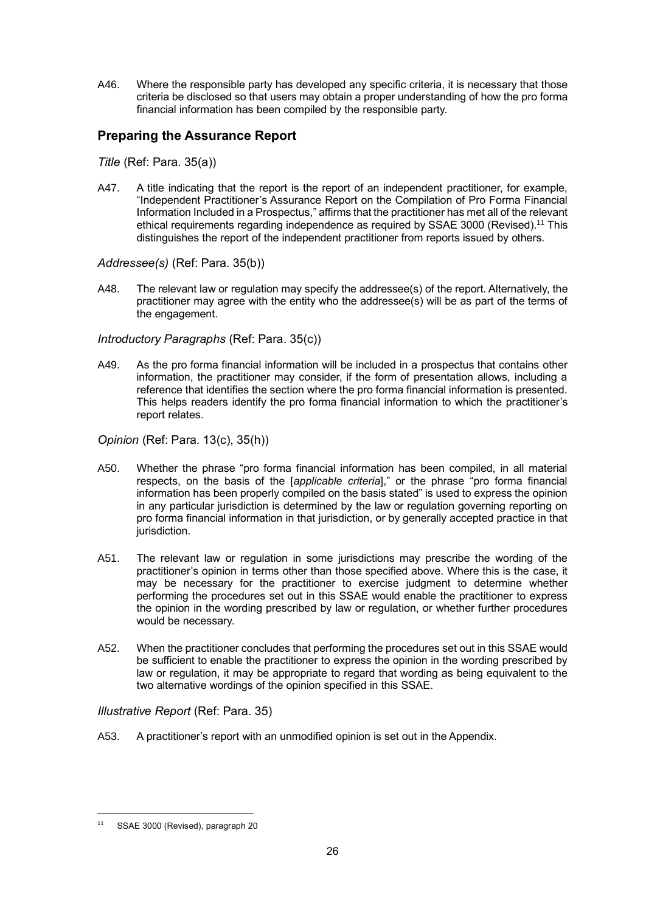A46. Where the responsible party has developed any specific criteria, it is necessary that those criteria be disclosed so that users may obtain a proper understanding of how the pro forma financial information has been compiled by the responsible party.

# **Preparing the Assurance Report**

*Title* (Ref: Para. 35(a))

A47. A title indicating that the report is the report of an independent practitioner, for example, "Independent Practitioner's Assurance Report on the Compilation of Pro Forma Financial Information Included in a Prospectus," affirms that the practitioner has met all of the relevant ethical requirements regarding independence as required by SSAE 3000 (Revised).<sup>11</sup> This distinguishes the report of the independent practitioner from reports issued by others.

#### *Addressee(s)* (Ref: Para. 35(b))

A48. The relevant law or regulation may specify the addressee(s) of the report. Alternatively, the practitioner may agree with the entity who the addressee(s) will be as part of the terms of the engagement.

#### *Introductory Paragraphs* (Ref: Para. 35(c))

A49. As the pro forma financial information will be included in a prospectus that contains other information, the practitioner may consider, if the form of presentation allows, including a reference that identifies the section where the pro forma financial information is presented. This helps readers identify the pro forma financial information to which the practitioner's report relates.

*Opinion* (Ref: Para. 13(c), 35(h))

- A50. Whether the phrase "pro forma financial information has been compiled, in all material respects, on the basis of the [*applicable criteria*]," or the phrase "pro forma financial information has been properly compiled on the basis stated" is used to express the opinion in any particular jurisdiction is determined by the law or regulation governing reporting on pro forma financial information in that jurisdiction, or by generally accepted practice in that jurisdiction.
- A51. The relevant law or regulation in some jurisdictions may prescribe the wording of the practitioner's opinion in terms other than those specified above. Where this is the case, it may be necessary for the practitioner to exercise judgment to determine whether performing the procedures set out in this SSAE would enable the practitioner to express the opinion in the wording prescribed by law or regulation, or whether further procedures would be necessary.
- A52. When the practitioner concludes that performing the procedures set out in this SSAE would be sufficient to enable the practitioner to express the opinion in the wording prescribed by law or regulation, it may be appropriate to regard that wording as being equivalent to the two alternative wordings of the opinion specified in this SSAE.

### *Illustrative Report* (Ref: Para. 35)

A53. A practitioner's report with an unmodified opinion is set out in the Appendix.

SSAE 3000 (Revised), paragraph 20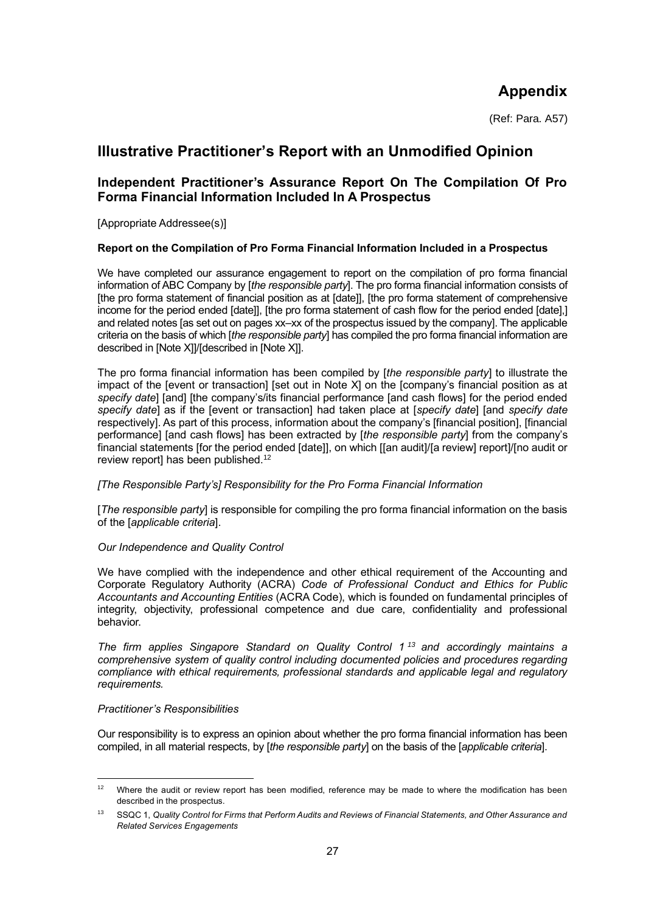# **Appendix**

(Ref: Para. A57)

# **Illustrative Practitioner's Report with an Unmodified Opinion**

# **Independent Practitioner's Assurance Report On The Compilation Of Pro Forma Financial Information Included In A Prospectus**

[Appropriate Addressee(s)]

#### **Report on the Compilation of Pro Forma Financial Information Included in a Prospectus**

We have completed our assurance engagement to report on the compilation of pro forma financial information of ABC Company by [*the responsible party*]. The pro forma financial information consists of [the pro forma statement of financial position as at [date]], [the pro forma statement of comprehensive income for the period ended [date]], [the pro forma statement of cash flow for the period ended [date],] and related notes [as set out on pages xx–xx of the prospectus issued by the company]. The applicable criteria on the basis of which [*the responsible party*] has compiled the pro forma financial information are described in [Note X]]/[described in [Note X]].

The pro forma financial information has been compiled by [*the responsible party*] to illustrate the impact of the [event or transaction] [set out in Note X] on the [company's financial position as at *specify date*] [and] [the company's/its financial performance [and cash flows] for the period ended *specify date*] as if the [event or transaction] had taken place at [*specify date*] [and *specify date* respectively]. As part of this process, information about the company's [financial position], [financial performance] [and cash flows] has been extracted by [*the responsible party*] from the company's financial statements [for the period ended [date]], on which [[an audit]/[a review] report]/[no audit or review report] has been published.<sup>12</sup>

#### *[The Responsible Party's] Responsibility for the Pro Forma Financial Information*

[*The responsible party*] is responsible for compiling the pro forma financial information on the basis of the [*applicable criteria*].

#### *Our Independence and Quality Control*

We have complied with the independence and other ethical requirement of the Accounting and Corporate Regulatory Authority (ACRA) *Code of Professional Conduct and Ethics for Public Accountants and Accounting Entities* (ACRA Code), which is founded on fundamental principles of integrity, objectivity, professional competence and due care, confidentiality and professional behavior.

*The firm applies Singapore Standard on Quality Control 1 <sup>13</sup> and accordingly maintains a comprehensive system of quality control including documented policies and procedures regarding compliance with ethical requirements, professional standards and applicable legal and regulatory requirements.*

#### *Practitioner's Responsibilities*

Our responsibility is to express an opinion about whether the pro forma financial information has been compiled, in all material respects, by [*the responsible party*] on the basis of the [*applicable criteria*].

<sup>&</sup>lt;sup>12</sup> Where the audit or review report has been modified, reference may be made to where the modification has been described in the prospectus.

<sup>13</sup> SSQC 1, *Quality Control for Firms that Perform Audits and Reviews of Financial Statements, and Other Assurance and Related Services Engagements*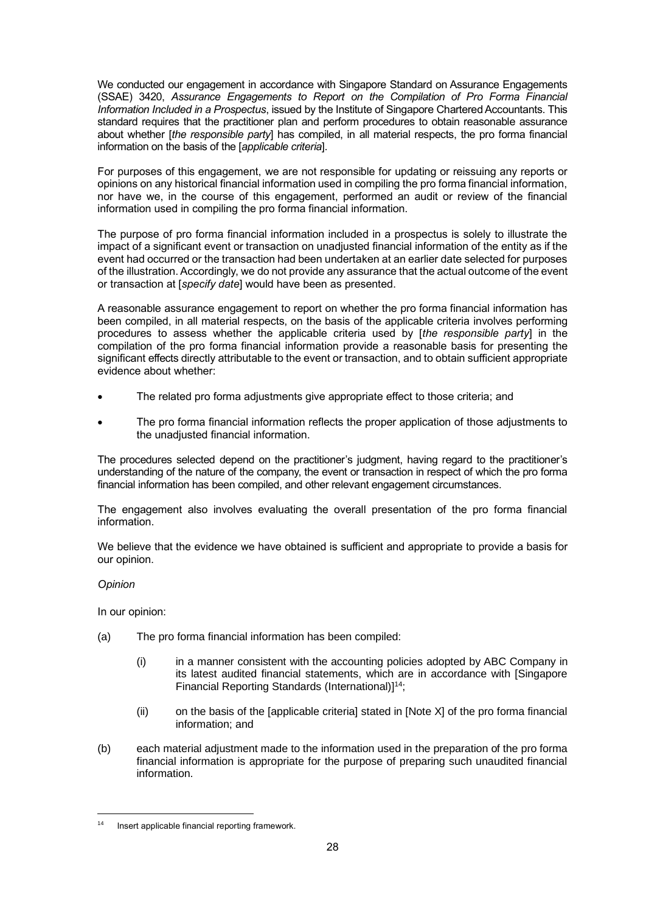We conducted our engagement in accordance with Singapore Standard on Assurance Engagements (SSAE) 3420, *Assurance Engagements to Report on the Compilation of Pro Forma Financial Information Included in a Prospectus*, issued by the Institute of Singapore Chartered Accountants. This standard requires that the practitioner plan and perform procedures to obtain reasonable assurance about whether [*the responsible party*] has compiled, in all material respects, the pro forma financial information on the basis of the [*applicable criteria*].

For purposes of this engagement, we are not responsible for updating or reissuing any reports or opinions on any historical financial information used in compiling the pro forma financial information, nor have we, in the course of this engagement, performed an audit or review of the financial information used in compiling the pro forma financial information.

The purpose of pro forma financial information included in a prospectus is solely to illustrate the impact of a significant event or transaction on unadjusted financial information of the entity as if the event had occurred or the transaction had been undertaken at an earlier date selected for purposes of the illustration. Accordingly, we do not provide any assurance that the actual outcome of the event or transaction at [*specify date*] would have been as presented.

A reasonable assurance engagement to report on whether the pro forma financial information has been compiled, in all material respects, on the basis of the applicable criteria involves performing procedures to assess whether the applicable criteria used by [*the responsible party*] in the compilation of the pro forma financial information provide a reasonable basis for presenting the significant effects directly attributable to the event or transaction, and to obtain sufficient appropriate evidence about whether:

- The related pro forma adjustments give appropriate effect to those criteria; and
- The pro forma financial information reflects the proper application of those adjustments to the unadjusted financial information.

The procedures selected depend on the practitioner's judgment, having regard to the practitioner's understanding of the nature of the company, the event or transaction in respect of which the pro forma financial information has been compiled, and other relevant engagement circumstances.

The engagement also involves evaluating the overall presentation of the pro forma financial information.

We believe that the evidence we have obtained is sufficient and appropriate to provide a basis for our opinion.

#### *Opinion*

In our opinion:

- (a) The pro forma financial information has been compiled:
	- (i) in a manner consistent with the accounting policies adopted by ABC Company in its latest audited financial statements, which are in accordance with [Singapore Financial Reporting Standards (International)] 14;
	- (ii) on the basis of the [applicable criteria] stated in [Note X] of the pro forma financial information; and
- (b) each material adjustment made to the information used in the preparation of the pro forma financial information is appropriate for the purpose of preparing such unaudited financial information.

Insert applicable financial reporting framework.